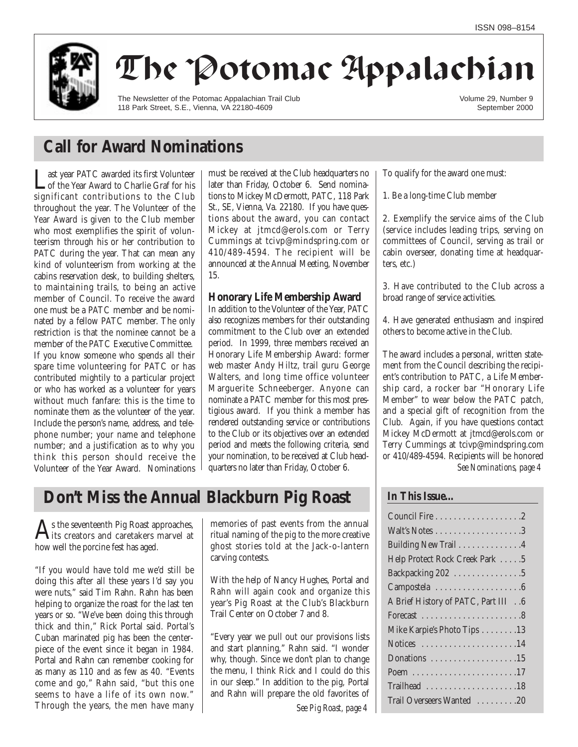

# The Potomac Appalachian

The Newsletter of the Potomac Appalachian Trail Club 118 Park Street, S.E., Vienna, VA 22180-4609

Volume 29, Number 9 September 2000

## **Call for Award Nominations**

Last year PATC awarded its first Volunteer<br>
of the Year Award to Charlie Graf for his significant contributions to the Club throughout the year. The Volunteer of the Year Award is given to the Club member who most exemplifies the spirit of volunteerism through his or her contribution to PATC during the year. That can mean any kind of volunteerism from working at the cabins reservation desk, to building shelters, to maintaining trails, to being an active member of Council. To receive the award one must be a PATC member and be nominated by a fellow PATC member. The only restriction is that the nominee cannot be a member of the PATC Executive Committee. If you know someone who spends all their spare time volunteering for PATC or has contributed mightily to a particular project or who has worked as a volunteer for years without much fanfare: this is the time to nominate them as the volunteer of the year. Include the person's name, address, and telephone number; your name and telephone number; and a justification as to why you think this person should receive the Volunteer of the Year Award. Nominations must be received at the Club headquarters no later than Friday, October 6. Send nominations to Mickey McDermott, PATC, 118 Park St., SE, Vienna, Va. 22180. If you have questions about the award, you can contact Mickey at jtmcd@erols.com or Terry Cummings at tcivp@mindspring.com or 410/489-4594. The recipient will be announced at the Annual Meeting, November 15.

## **Honorary Life Membership Award**

In addition to the Volunteer of the Year, PATC also recognizes members for their outstanding commitment to the Club over an extended period. In 1999, three members received an Honorary Life Membership Award: former web master Andy Hiltz, trail guru George Walters, and long time office volunteer Marguerite Schneeberger. Anyone can nominate a PATC member for this most prestigious award. If you think a member has rendered outstanding service or contributions to the Club or its objectives over an extended period and meets the following criteria, send your nomination, to be received at Club headquarters no later than Friday, October 6.

## **Don't Miss the Annual Blackburn Pig Roast**

 $A$  is the seventeenth Pig Roast approaches,<br>its creators and caretakers marvel at how well the porcine fest has aged.

"If you would have told me we'd still be doing this after all these years I'd say you were nuts," said Tim Rahn. Rahn has been helping to organize the roast for the last ten years or so. "We've been doing this through thick and thin," Rick Portal said. Portal's Cuban marinated pig has been the centerpiece of the event since it began in 1984. Portal and Rahn can remember cooking for as many as 110 and as few as 40. "Events come and go," Rahn said, "but this one seems to have a life of its own now." Through the years, the men have many memories of past events from the annual ritual naming of the pig to the more creative ghost stories told at the Jack-o-lantern carving contests.

With the help of Nancy Hughes, Portal and Rahn will again cook and organize this year's Pig Roast at the Club's Blackburn Trail Center on October 7 and 8.

"Every year we pull out our provisions lists and start planning," Rahn said. "I wonder why, though. Since we don't plan to change the menu, I think Rick and I could do this in our sleep." In addition to the pig, Portal and Rahn will prepare the old favorites of

*See Pig Roast, page 4*

To qualify for the award one must:

1. Be a long-time Club member

2. Exemplify the service aims of the Club (service includes leading trips, serving on committees of Council, serving as trail or cabin overseer, donating time at headquarters, etc.)

3. Have contributed to the Club across a broad range of service activities.

4. Have generated enthusiasm and inspired others to become active in the Club.

The award includes a personal, written statement from the Council describing the recipient's contribution to PATC, a Life Membership card, a rocker bar "Honorary Life Member" to wear below the PATC patch, and a special gift of recognition from the Club. Again, if you have questions contact Mickey McDermott at jtmcd@erols.com or Terry Cummings at tcivp@mindspring.com or 410/489-4594. Recipients will be honored *See Nominations, page 4*

### **In This Issue…**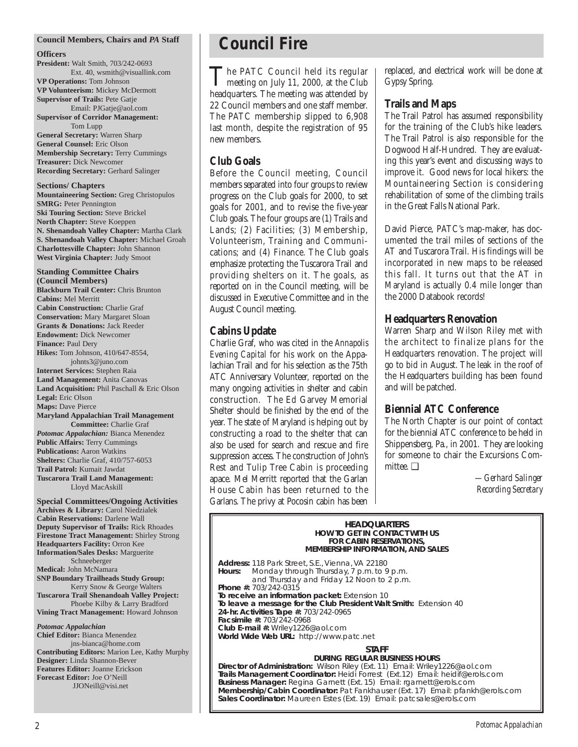#### **Council Members, Chairs and** *PA* **Staff**

#### **Officers**

**President:** Walt Smith, 703/242-0693 Ext. 40, wsmith@visuallink.com **VP Operations:** Tom Johnson **VP Volunteerism:** Mickey McDermott **Supervisor of Trails:** Pete Gatje Email: PJGatje@aol.com **Supervisor of Corridor Management:** Tom Lupp

**General Secretary:** Warren Sharp **General Counsel:** Eric Olson **Membership Secretary:** Terry Cummings **Treasurer:** Dick Newcomer **Recording Secretary:** Gerhard Salinger

**Sections/ Chapters Mountaineering Section:** Greg Christopulos **SMRG:** Peter Pennington **Ski Touring Section:** Steve Brickel **North Chapter:** Steve Koeppen **N. Shenandoah Valley Chapter:** Martha Clark **S. Shenandoah Valley Chapter:** Michael Groah **Charlottesville Chapter:** John Shannon **West Virginia Chapter:** Judy Smoot

**Standing Committee Chairs (Council Members) Blackburn Trail Center:** Chris Brunton **Cabins:** Mel Merritt **Cabin Construction:** Charlie Graf **Conservation:** Mary Margaret Sloan **Grants & Donations:** Jack Reeder **Endowment:** Dick Newcomer **Finance:** Paul Dery **Hikes:** Tom Johnson, 410/647-8554, johnts3@juno.com **Internet Services:** Stephen Raia **Land Management:** Anita Canovas **Land Acquisition:** Phil Paschall & Eric Olson **Legal:** Eric Olson **Maps:** Dave Pierce **Maryland Appalachian Trail Management Committee:** Charlie Graf *Potomac Appalachian:* Bianca Menendez

**Public Affairs:** Terry Cummings **Publications:** Aaron Watkins **Shelters:** Charlie Graf, 410/757-6053 **Trail Patrol:** Kumait Jawdat **Tuscarora Trail Land Management:**  Lloyd MacAskill

**Special Committees/Ongoing Activities Archives & Library:** Carol Niedzialek **Cabin Reservations:** Darlene Wall **Deputy Supervisor of Trails:** Rick Rhoades **Firestone Tract Management:** Shirley Strong **Headquarters Facility:** Orron Kee **Information/Sales Desks:** Marguerite Schneeberger **Medical:** John McNamara **SNP Boundary Trailheads Study Group:** Kerry Snow & George Walters **Tuscarora Trail Shenandoah Valley Project:**  Phoebe Kilby & Larry Bradford **Vining Tract Management:** Howard Johnson

*Potomac Appalachian* **Chief Editor:** Bianca Menendez jns-bianca@home.com **Contributing Editors:** Marion Lee, Kathy Murphy **Designer:** Linda Shannon-Bever **Features Editor:** Joanne Erickson **Forecast Editor:** Joe O'Neill JJONeill@visi.net

## **Council Fire**

The PATC Council held its regular<br>meeting on July 11, 2000, at the Club<br>hedworthing The meeting was etterded by headquarters. The meeting was attended by 22 Council members and one staff member. The PATC membership slipped to 6,908 last month, despite the registration of 95 new members.

## **Club Goals**

Before the Council meeting, Council members separated into four groups to review progress on the Club goals for 2000, to set goals for 2001, and to revise the five-year Club goals. The four groups are (1) Trails and Lands; (2) Facilities; (3) Membership, Volunteerism, Training and Communications; and (4) Finance. The Club goals emphasize protecting the Tuscarora Trail and providing shelters on it. The goals, as reported on in the Council meeting, will be discussed in Executive Committee and in the August Council meeting.

## **Cabins Update**

Charlie Graf, who was cited in the *Annapolis Evening Capital* for his work on the Appalachian Trail and for his selection as the 75th ATC Anniversary Volunteer, reported on the many ongoing activities in shelter and cabin construction. The Ed Garvey Memorial Shelter should be finished by the end of the year. The state of Maryland is helping out by constructing a road to the shelter that can also be used for search and rescue and fire suppression access. The construction of John's Rest and Tulip Tree Cabin is proceeding apace. Mel Merritt reported that the Garlan House Cabin has been returned to the Garlans. The privy at Pocosin cabin has been replaced, and electrical work will be done at Gypsy Spring.

### **Trails and Maps**

The Trail Patrol has assumed responsibility for the training of the Club's hike leaders. The Trail Patrol is also responsible for the Dogwood Half-Hundred. They are evaluating this year's event and discussing ways to improve it. Good news for local hikers: the Mountaineering Section is considering rehabilitation of some of the climbing trails in the Great Falls National Park.

David Pierce, PATC's map-maker, has documented the trail miles of sections of the AT and Tuscarora Trail. His findings will be incorporated in new maps to be released this fall. It turns out that the AT in Maryland is actually 0.4 mile longer than the 2000 Databook records!

## **Headquarters Renovation**

Warren Sharp and Wilson Riley met with the architect to finalize plans for the Headquarters renovation. The project will go to bid in August. The leak in the roof of the Headquarters building has been found and will be patched.

## **Biennial ATC Conference**

The North Chapter is our point of contact for the biennial ATC conference to be held in Shippensberg, Pa., in 2001. They are looking for someone to chair the Excursions Committee. ❑

> *—Gerhard Salinger Recording Secretary*

**HEADQUARTERS HOW TO GET IN CONTACT WITH US FOR CABIN RESERVATIONS, MEMBERSHIP INFORMATION, AND SALES**

**Address:** 118 Park Street, S.E., Vienna, VA 22180 **Hours:** Monday through Thursday, 7 p.m. to 9 p.m. and Thursday and Friday 12 Noon to 2 p.m. **Phone #:** 703/242-0315 **To receive an information packet:** Extension 10 **To leave a message for the Club President Walt Smith:** Extension 40 **24-hr. Activities Tape #:** 703/242-0965 **Facsimile #:** 703/242-0968 **Club E-mail #:** Wriley1226@aol.com **World Wide Web URL:** http://www.patc.net **STAFF** 

### **DURING REGULAR BUSINESS HOURS**

**Director of Administration:** Wilson Riley (Ext. 11) Email: Wriley1226@aol.com **Trails Management Coordinator:** Heidi Forrest (Ext.12) Email: heidif@erols.com **Business Manager:** Regina Garnett (Ext. 15) Email: rgarnett@erols.com **Membership/Cabin Coordinator:** Pat Fankhauser (Ext. 17) Email: pfankh@erols.com **Sales Coordinator:** Maureen Estes (Ext. 19) Email: patcsales@erols.com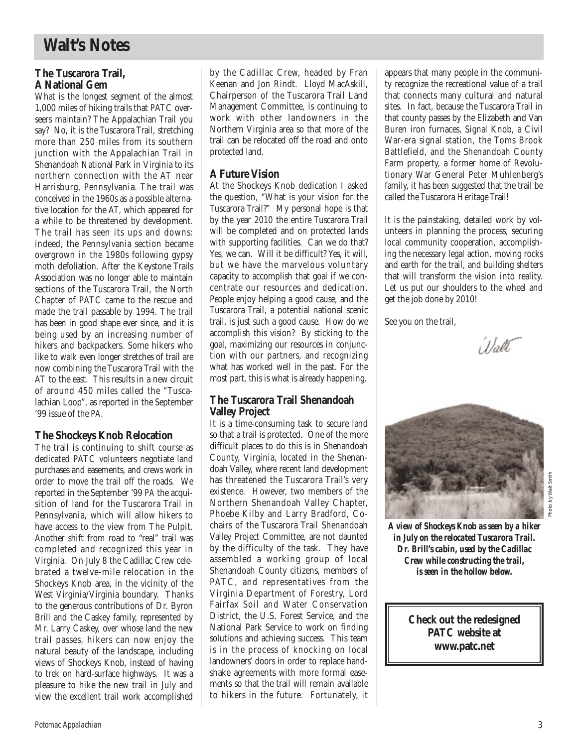## **Walt's Notes**

## **The Tuscarora Trail, A National Gem**

What is the longest segment of the almost 1,000 miles of hiking trails that PATC overseers maintain? The Appalachian Trail you say? No, it is the Tuscarora Trail, stretching more than 250 miles from its southern junction with the Appalachian Trail in Shenandoah National Park in Virginia to its northern connection with the AT near Harrisburg, Pennsylvania. The trail was conceived in the 1960s as a possible alternative location for the AT, which appeared for a while to be threatened by development. The trail has seen its ups and downs: indeed, the Pennsylvania section became overgrown in the 1980s following gypsy moth defoliation. After the Keystone Trails Association was no longer able to maintain sections of the Tuscarora Trail, the North Chapter of PATC came to the rescue and made the trail passable by 1994. The trail has been in good shape ever since, and it is being used by an increasing number of hikers and backpackers. Some hikers who like to walk even longer stretches of trail are now combining the Tuscarora Trail with the AT to the east. This results in a new circuit of around 450 miles called the "Tuscalachian Loop", as reported in the September '99 issue of the *PA.*

## **The Shockeys Knob Relocation**

The trail is continuing to shift course as dedicated PATC volunteers negotiate land purchases and easements, and crews work in order to move the trail off the roads. We reported in the September '99 *PA* the acquisition of land for the Tuscarora Trail in Pennsylvania, which will allow hikers to have access to the view from The Pulpit. Another shift from road to "real" trail was completed and recognized this year in Virginia. On July 8 the Cadillac Crew celebrated a twelve-mile relocation in the Shockeys Knob area, in the vicinity of the West Virginia/Virginia boundary. Thanks to the generous contributions of Dr. Byron Brill and the Caskey family, represented by Mr. Larry Caskey, over whose land the new trail passes, hikers can now enjoy the natural beauty of the landscape, including views of Shockeys Knob, instead of having to trek on hard-surface highways. It was a pleasure to hike the new trail in July and view the excellent trail work accomplished by the Cadillac Crew, headed by Fran Keenan and Jon Rindt. Lloyd MacAskill, Chairperson of the Tuscarora Trail Land Management Committee, is continuing to work with other landowners in the Northern Virginia area so that more of the trail can be relocated off the road and onto protected land.

## **A Future Vision**

At the Shockeys Knob dedication I asked the question, "What is your vision for the Tuscarora Trail?" My personal hope is that by the year 2010 the entire Tuscarora Trail will be completed and on protected lands with supporting facilities. Can we do that? Yes, we can. Will it be difficult? Yes, it will, but we have the marvelous voluntary capacity to accomplish that goal if we concentrate our resources and dedication. People enjoy helping a good cause, and the Tuscarora Trail, a potential national scenic trail, is just such a good cause. How do we accomplish this vision? By sticking to the goal, maximizing our resources in conjunction with our partners, and recognizing what has worked well in the past. For the most part, this is what is already happening.

## **The Tuscarora Trail Shenandoah Valley Project**

It is a time-consuming task to secure land so that a trail is protected. One of the more difficult places to do this is in Shenandoah County, Virginia, located in the Shenandoah Valley, where recent land development has threatened the Tuscarora Trail's very existence. However, two members of the Northern Shenandoah Valley Chapter, Phoebe Kilby and Larry Bradford, Cochairs of the Tuscarora Trail Shenandoah Valley Project Committee, are not daunted by the difficulty of the task. They have assembled a working group of local Shenandoah County citizens, members of PATC, and representatives from the Virginia Department of Forestry, Lord Fairfax Soil and Water Conservation District, the U.S. Forest Service, and the National Park Service to work on finding solutions and achieving success. This team is in the process of knocking on local landowners' doors in order to replace handshake agreements with more formal easements so that the trail will remain available to hikers in the future. Fortunately, it appears that many people in the community recognize the recreational value of a trail that connects many cultural and natural sites. In fact, because the Tuscarora Trail in that county passes by the Elizabeth and Van Buren iron furnaces, Signal Knob, a Civil War-era signal station, the Toms Brook Battlefield, and the Shenandoah County Farm property, a former home of Revolutionary War General Peter Muhlenberg's family, it has been suggested that the trail be called the Tuscarora Heritage Trail!

It is the painstaking, detailed work by volunteers in planning the process, securing local community cooperation, accomplishing the necessary legal action, moving rocks and earth for the trail, and building shelters that will transform the vision into reality. Let us put our shoulders to the wheel and get the job done by 2010!

See you on the trail,

Walt



Photo by Walt Smith

by Walt Smith

*A view of Shockeys Knob as seen by a hiker in July on the relocated Tuscarora Trail. Dr. Brill's cabin, used by the Cadillac Crew while constructing the trail, is seen in the hollow below.*

> **Check out the redesigned PATC website at www.patc.net**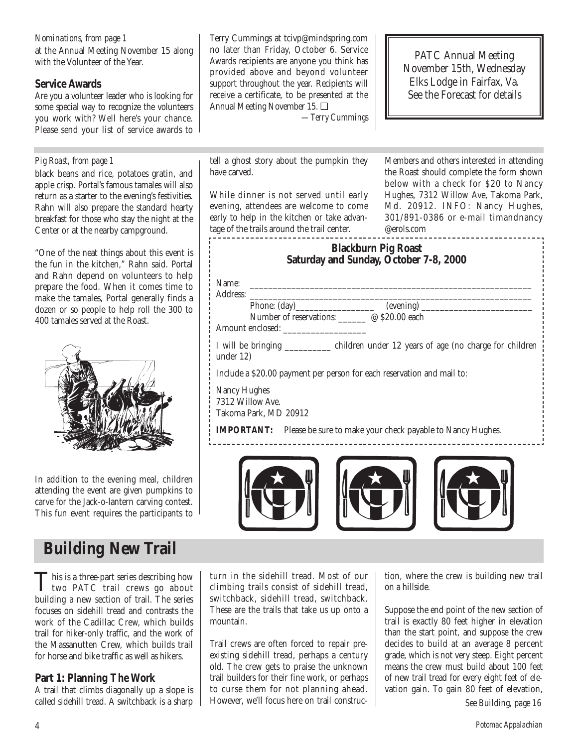### *Nominations, from page 1*

at the Annual Meeting November 15 along with the Volunteer of the Year.

## **Service Awards**

Are you a volunteer leader who is looking for some special way to recognize the volunteers you work with? Well here's your chance. Please send your list of service awards to

### *Pig Roast, from page 1*

black beans and rice, potatoes gratin, and apple crisp. Portal's famous tamales will also return as a starter to the evening's festivities. Rahn will also prepare the standard hearty breakfast for those who stay the night at the Center or at the nearby campground.

"One of the neat things about this event is the fun in the kitchen," Rahn said. Portal and Rahn depend on volunteers to help prepare the food. When it comes time to make the tamales, Portal generally finds a dozen or so people to help roll the 300 to 400 tamales served at the Roast.



In addition to the evening meal, children attending the event are given pumpkins to carve for the Jack-o-lantern carving contest. This fun event requires the participants to

## **Building New Trail**

This is a three-part series describing how<br>two PATC trail crews go about building a new section of trail. The series focuses on sidehill tread and contrasts the work of the Cadillac Crew, which builds trail for hiker-only traffic, and the work of the Massanutten Crew, which builds trail for horse and bike traffic as well as hikers.

### **Part 1: Planning The Work**

A trail that climbs diagonally up a slope is called sidehill tread. A switchback is a sharp Terry Cummings at tcivp@mindspring.com no later than Friday, October 6. Service Awards recipients are anyone you think has provided above and beyond volunteer support throughout the year. Recipients will receive a certificate, to be presented at the Annual Meeting November 15. ❑

*—Terry Cummings*

PATC Annual Meeting November 15th, Wednesday Elks Lodge in Fairfax, Va. See the Forecast for details

tell a ghost story about the pumpkin they have carved.

While dinner is not served until early evening, attendees are welcome to come early to help in the kitchen or take advantage of the trails around the trail center.

Members and others interested in attending the Roast should complete the form shown below with a check for \$20 to Nancy Hughes, 7312 Willow Ave, Takoma Park, Md. 20912. INFO: Nancy Hughes, 301/891-0386 or e-mail timandnancy @erols.com

## **Blackburn Pig Roast Saturday and Sunday, October 7-8, 2000**

| Name:<br>Address:                |                                                                              |
|----------------------------------|------------------------------------------------------------------------------|
|                                  | Phone: $\frac{(\text{day})\_$<br>(evening)                                   |
|                                  | Number of reservations: ________ @ \$20.00 each                              |
|                                  | Amount enclosed:                                                             |
| under $12)$                      |                                                                              |
|                                  | Include a \$20.00 payment per person for each reservation and mail to:       |
| Nancy Hughes<br>7312 Willow Ave. | Takoma Park, MD 20912                                                        |
|                                  | <b>IMPORTANT:</b> Please be sure to make your check payable to Nancy Hughes. |



turn in the sidehill tread. Most of our climbing trails consist of sidehill tread, switchback, sidehill tread, switchback. These are the trails that take us up onto a mountain.

Trail crews are often forced to repair preexisting sidehill tread, perhaps a century old. The crew gets to praise the unknown trail builders for their fine work, or perhaps to curse them for not planning ahead. However, we'll focus here on trail construction, where the crew is building new trail on a hillside.

Suppose the end point of the new section of trail is exactly 80 feet higher in elevation than the start point, and suppose the crew decides to build at an average 8 percent grade, which is not very steep. Eight percent means the crew must build about 100 feet of new trail tread for every eight feet of elevation gain. To gain 80 feet of elevation,

*See Building, page 16*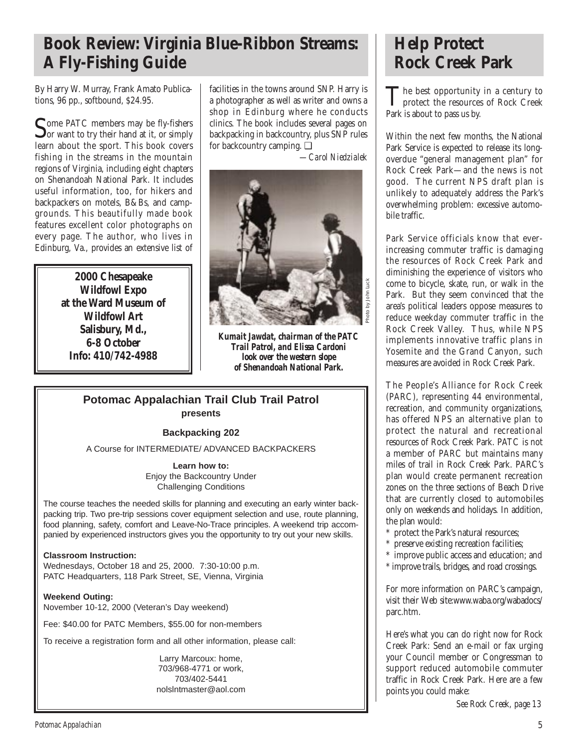## **Book Review: Virginia Blue-Ribbon Streams: A Fly-Fishing Guide**

By Harry W. Murray, Frank Amato Publications, 96 pp., softbound, \$24.95.

Some PATC members may be fly-fishers<br>
or want to try their hand at it, or simply learn about the sport. This book covers fishing in the streams in the mountain regions of Virginia, including eight chapters on Shenandoah National Park. It includes useful information, too, for hikers and backpackers on motels, B&Bs, and campgrounds. This beautifully made book features excellent color photographs on every page. The author, who lives in Edinburg, Va., provides an extensive list of

> **2000 Chesapeake Wildfowl Expo at the Ward Museum of Wildfowl Art Salisbury, Md., 6-8 October Info: 410/742-4988**

facilities in the towns around SNP. Harry is a photographer as well as writer and owns a shop in Edinburg where he conducts clinics. The book includes several pages on backpacking in backcountry, plus SNP rules for backcountry camping. ❑

*—Carol Niedzialek*



*Kumait Jawdat, chairman of the PATC Trail Patrol, and Elissa Cardoni look over the western slope of Shenandoah National Park.*

## **Potomac Appalachian Trail Club Trail Patrol presents**

**Backpacking 202**

A Course for INTERMEDIATE/ ADVANCED BACKPACKERS

**Learn how to:** Enjoy the Backcountry Under Challenging Conditions

The course teaches the needed skills for planning and executing an early winter backpacking trip. Two pre-trip sessions cover equipment selection and use, route planning, food planning, safety, comfort and Leave-No-Trace principles. A weekend trip accompanied by experienced instructors gives you the opportunity to try out your new skills.

### **Classroom Instruction:**

Wednesdays, October 18 and 25, 2000. 7:30-10:00 p.m. PATC Headquarters, 118 Park Street, SE, Vienna, Virginia

### **Weekend Outing:**

November 10-12, 2000 (Veteran's Day weekend)

Fee: \$40.00 for PATC Members, \$55.00 for non-members

To receive a registration form and all other information, please call:

Larry Marcoux: home, 703/968-4771 or work, 703/402-5441 nolslntmaster@aol.com

## **Help Protect Rock Creek Park**

The best opportunity in a century to<br>protect the resources of Rock Creek<br>Prekis short to resource Park is about to pass us by.

Within the next few months, the National Park Service is expected to release its longoverdue "general management plan" for Rock Creek Park—and the news is not good. The current NPS draft plan is unlikely to adequately address the Park's overwhelming problem: excessive automobile traffic.

Park Service officials know that everincreasing commuter traffic is damaging the resources of Rock Creek Park and diminishing the experience of visitors who come to bicycle, skate, run, or walk in the Park. But they seem convinced that the area's political leaders oppose measures to reduce weekday commuter traffic in the Rock Creek Valley. Thus, while NPS implements innovative traffic plans in Yosemite and the Grand Canyon, such measures are avoided in Rock Creek Park.

The People's Alliance for Rock Creek (PARC), representing 44 environmental, recreation, and community organizations, has offered NPS an alternative plan to protect the natural and recreational resources of Rock Creek Park. PATC is not a member of PARC but maintains many miles of trail in Rock Creek Park. PARC's plan would create permanent recreation zones on the three sections of Beach Drive that are currently closed to automobiles only on weekends and holidays. In addition, the plan would:

- protect the Park's natural resources;
- preserve existing recreation facilities;
- improve public access and education; and
- \* improve trails, bridges, and road crossings.

For more information on PARC's campaign, visit their Web site:www.waba.org/wabadocs/ parc.htm.

Here's what you can do right now for Rock Creek Park: Send an e-mail or fax urging your Council member or Congressman to support reduced automobile commuter traffic in Rock Creek Park. Here are a few points you could make:

*See Rock Creek, page 13*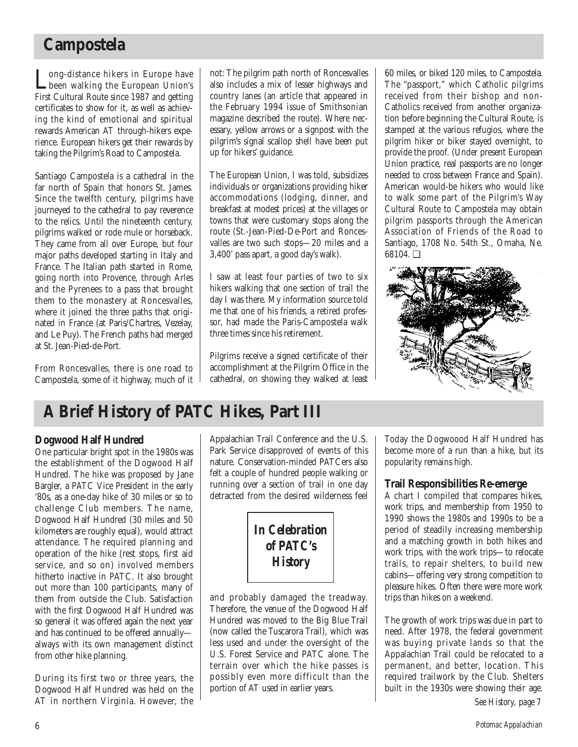## **Campostela**

Long-distance hikers in Europe have been walking the European Union's First Cultural Route since 1987 and getting certificates to show for it, as well as achieving the kind of emotional and spiritual rewards American AT through-hikers experience. European hikers get their rewards by taking the Pilgrim's Road to Campostela.

Santiago Campostela is a cathedral in the far north of Spain that honors St. James. Since the twelfth century, pilgrims have journeyed to the cathedral to pay reverence to the relics. Until the nineteenth century, pilgrims walked or rode mule or horseback. They came from all over Europe, but four major paths developed starting in Italy and France. The Italian path started in Rome, going north into Provence, through Arles and the Pyrenees to a pass that brought them to the monastery at Roncesvalles, where it joined the three paths that originated in France (at Paris/Chartres, Vezelay, and Le Puy). The French paths had merged at St. Jean-Pied-de-Port.

From Roncesvalles, there is one road to Campostela, some of it highway, much of it not: The pilgrim path north of Roncesvalles also includes a mix of lesser highways and country lanes (an article that appeared in the February 1994 issue of Smithsonian magazine described the route). Where necessary, yellow arrows or a signpost with the pilgrim's signal scallop shell have been put up for hikers' guidance.

The European Union, I was told, subsidizes individuals or organizations providing hiker accommodations (lodging, dinner, and breakfast at modest prices) at the villages or towns that were customary stops along the route (St.-Jean-Pied-De-Port and Roncesvalles are two such stops—20 miles and a 3,400' pass apart, a good day's walk).

I saw at least four parties of two to six hikers walking that one section of trail the day I was there. My information source told me that one of his friends, a retired professor, had made the Paris-Campostela walk three times since his retirement.

Pilgrims receive a signed certificate of their accomplishment at the Pilgrim Office in the cathedral, on showing they walked at least

60 miles, or biked 120 miles, to Campostela. The "passport," which Catholic pilgrims received from their bishop and non-Catholics received from another organization before beginning the Cultural Route, is stamped at the various refugios, where the pilgrim hiker or biker stayed overnight, to provide the proof. (Under present European Union practice, real passports are no longer needed to cross between France and Spain). American would-be hikers who would like to walk some part of the Pilgrim's Way Cultural Route to Campostela may obtain pilgrim passports through the American Association of Friends of the Road to Santiago, 1708 No. 54th St., Omaha, Ne. 68104. ❑



## **A Brief History of PATC Hikes, Part III**

## **Dogwood Half Hundred**

One particular bright spot in the 1980s was the establishment of the Dogwood Half Hundred. The hike was proposed by Jane Bargler, a PATC Vice President in the early '80s, as a one-day hike of 30 miles or so to challenge Club members. The name, Dogwood Half Hundred (30 miles and 50 kilometers are roughly equal), would attract attendance. The required planning and operation of the hike (rest stops, first aid service, and so on) involved members hitherto inactive in PATC. It also brought out more than 100 participants, many of them from outside the Club. Satisfaction with the first Dogwood Half Hundred was so general it was offered again the next year and has continued to be offered annually always with its own management distinct from other hike planning.

During its first two or three years, the Dogwood Half Hundred was held on the AT in northern Virginia. However, the Appalachian Trail Conference and the U.S. Park Service disapproved of events of this nature. Conservation-minded PATCers also felt a couple of hundred people walking or running over a section of trail in one day detracted from the desired wilderness feel

*In Celebration of PATC's History*

and probably damaged the treadway. Therefore, the venue of the Dogwood Half Hundred was moved to the Big Blue Trail (now called the Tuscarora Trail), which was less used and under the oversight of the U.S. Forest Service and PATC alone. The terrain over which the hike passes is possibly even more difficult than the portion of AT used in earlier years.

Today the Dogwoood Half Hundred has become more of a run than a hike, but its popularity remains high.

### **Trail Responsibilities Re-emerge**

A chart I compiled that compares hikes, work trips, and membership from 1950 to 1990 shows the 1980s and 1990s to be a period of steadily increasing membership and a matching growth in both hikes and work trips, with the work trips—to relocate trails, to repair shelters, to build new cabins—offering very strong competition to pleasure hikes. Often there were more work trips than hikes on a weekend.

The growth of work trips was due in part to need. After 1978, the federal government was buying private lands so that the Appalachian Trail could be relocated to a permanent, and better, location. This required trailwork by the Club. Shelters built in the 1930s were showing their age. *See History, page 7*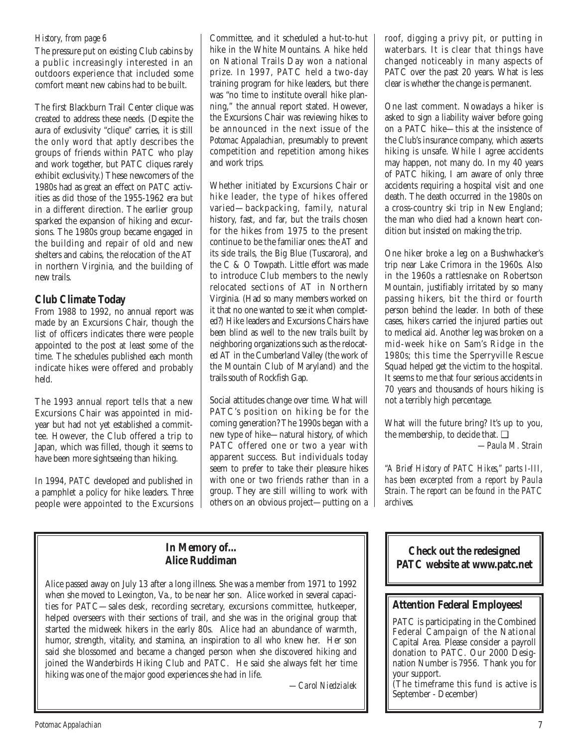### *History, from page 6*

The pressure put on existing Club cabins by a public increasingly interested in an outdoors experience that included some comfort meant new cabins had to be built.

The first Blackburn Trail Center clique was created to address these needs. (Despite the aura of exclusivity "clique" carries, it is still the only word that aptly describes the groups of friends within PATC who play and work together, but PATC cliques rarely exhibit exclusivity.) These newcomers of the 1980s had as great an effect on PATC activities as did those of the 1955-1962 era but in a different direction. The earlier group sparked the expansion of hiking and excursions. The 1980s group became engaged in the building and repair of old and new shelters and cabins, the relocation of the AT in northern Virginia, and the building of new trails.

## **Club Climate Today**

From 1988 to 1992, no annual report was made by an Excursions Chair, though the list of officers indicates there were people appointed to the post at least some of the time. The schedules published each month indicate hikes were offered and probably held.

The 1993 annual report tells that a new Excursions Chair was appointed in midyear but had not yet established a committee. However, the Club offered a trip to Japan, which was filled, though it seems to have been more sightseeing than hiking.

In 1994, PATC developed and published in a pamphlet a policy for hike leaders. Three people were appointed to the Excursions Committee, and it scheduled a hut-to-hut hike in the White Mountains. A hike held on National Trails Day won a national prize. In 1997, PATC held a two-day training program for hike leaders, but there was "no time to institute overall hike planning," the annual report stated. However, the Excursions Chair was reviewing hikes to be announced in the next issue of the *Potomac Appalachian,* presumably to prevent competition and repetition among hikes and work trips.

Whether initiated by Excursions Chair or hike leader, the type of hikes offered varied—backpacking, family, natural history, fast, and far, but the trails chosen for the hikes from 1975 to the present continue to be the familiar ones: the AT and its side trails, the Big Blue (Tuscarora), and the C & O Towpath. Little effort was made to introduce Club members to the newly relocated sections of AT in Northern Virginia. (Had so many members worked on it that no one wanted to see it when completed?) Hike leaders and Excursions Chairs have been blind as well to the new trails built by neighboring organizations such as the relocated AT in the Cumberland Valley (the work of the Mountain Club of Maryland) and the trails south of Rockfish Gap.

Social attitudes change over time. What will PATC's position on hiking be for the coming generation? The 1990s began with a new type of hike—natural history, of which PATC offered one or two a year with apparent success. But individuals today seem to prefer to take their pleasure hikes with one or two friends rather than in a group. They are still willing to work with others on an obvious project—putting on a roof, digging a privy pit, or putting in waterbars. It is clear that things have changed noticeably in many aspects of PATC over the past 20 years. What is less clear is whether the change is permanent.

One last comment. Nowadays a hiker is asked to sign a liability waiver before going on a PATC hike—this at the insistence of the Club's insurance company, which asserts hiking is unsafe. While I agree accidents may happen, not many do. In my 40 years of PATC hiking, I am aware of only three accidents requiring a hospital visit and one death. The death occurred in the 1980s on a cross-country ski trip in New England; the man who died had a known heart condition but insisted on making the trip.

One hiker broke a leg on a Bushwhacker's trip near Lake Crimora in the 1960s. Also in the 1960s a rattlesnake on Robertson Mountain, justifiably irritated by so many passing hikers, bit the third or fourth person behind the leader. In both of these cases, hikers carried the injured parties out to medical aid. Another leg was broken on a mid-week hike on Sam's Ridge in the 1980s; this time the Sperryville Rescue Squad helped get the victim to the hospital. It seems to me that four serious accidents in 70 years and thousands of hours hiking is not a terribly high percentage.

What will the future bring? It's up to you, the membership, to decide that. ❑

*—Paula M. Strain*

*"A Brief History of PATC Hikes," parts I-III, has been excerpted from a report by Paula Strain. The report can be found in the PATC archives.*

## **In Memory of... Alice Ruddiman**

Alice passed away on July 13 after a long illness. She was a member from 1971 to 1992 when she moved to Lexington, Va., to be near her son. Alice worked in several capacities for PATC—sales desk, recording secretary, excursions committee, hutkeeper, helped overseers with their sections of trail, and she was in the original group that started the midweek hikers in the early 80s. Alice had an abundance of warmth, humor, strength, vitality, and stamina, an inspiration to all who knew her. Her son said she blossomed and became a changed person when she discovered hiking and joined the Wanderbirds Hiking Club and PATC. He said she always felt her time hiking was one of the major good experiences she had in life.

*—Carol Niedzialek*

**Check out the redesigned PATC website at www.patc.net**

## **Attention Federal Employees!**

PATC is participating in the Combined Federal Campaign of the National Capital Area. Please consider a payroll donation to PATC. Our 2000 Designation Number is 7956. Thank you for your support.

(The timeframe this fund is active is September - December)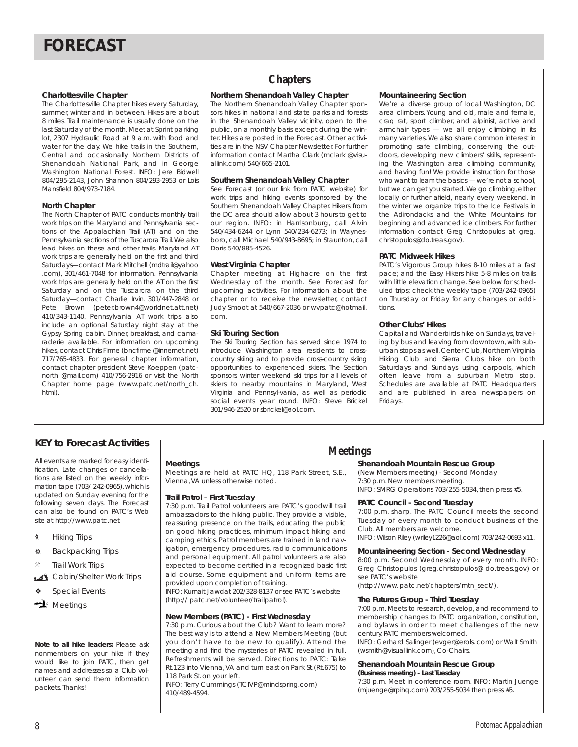#### **Charlottesville Chapter**

The Charlottesville Chapter hikes every Saturday, summer, winter and in between. Hikes are about 8 miles. Trail maintenance is usually done on the last Saturday of the month.Meet at Sprint parking lot, 2307 Hydraulic Road at 9 a.m. with food and water for the day. We hike trails in the Southern, Central and occasionally Northern Districts of Shenandoah National Park, and in George Washington National Forest. INFO: Jere Bidwell 804/295-2143, John Shannon 804/293-2953 or Lois Mansfield 804/973-7184.

#### **North Chapter**

The North Chapter of PATC conducts monthly trail work trips on the Maryland and Pennsylvania sections of the Appalachian Trail (AT) and on the Pennsylvania sections of the Tuscarora Trail.We also lead hikes on these and other trails. Maryland AT work trips are generally held on the first and third Saturdays—contact Mark Mitchell (mdtrail@yahoo .com), 301/461-7048 for information. Pennsylvania work trips are generally held on the AT on the first Saturday and on the Tuscarora on the third Saturday—contact Charlie Irvin, 301/447-2848 or Pete Brown (peter.brown4@worldnet.att.net) 410/343-1140. Pennsylvania AT work trips also include an optional Saturday night stay at the Gypsy Spring cabin. Dinner, breakfast, and camaraderie available. For information on upcoming hikes, contact Chris Firme (bncfirme @innernet.net) 717/765-4833. For general chapter information, contact chapter president Steve Koeppen (patcnorth @mail.com) 410/756-2916 or visit the North Chapter home page (www.patc.net/north\_ch. html).

## **Chapters**

#### **Northern Shenandoah Valley Chapter**

The Northern Shenandoah Valley Chapter sponsors hikes in national and state parks and forests in the Shenandoah Valley vicinity, open to the public, on a monthly basis except during the winter. Hikes are posted in the Forecast. Other activities are in the NSV Chapter Newsletter. For further information contact Martha Clark (mclark @visuallink.com) 540/665-2101.

#### **Southern Shenandoah Valley Chapter**

See Forecast (or our link from PATC website) for work trips and hiking events sponsored by the Southern Shenandoah Valley Chapter. Hikers from the DC area should allow about 3 hours to get to our region. INFO: in Harrisonburg, call Alvin 540/434-6244 or Lynn 540/234-6273; in Waynesboro, call Michael 540/943-8695; in Staunton, call Doris 540/885-4526.

#### **West Virginia Chapter**

Chapter meeting at Highacre on the first Wednesday of the month. See Forecast for upcoming activities. For information about the chapter or to receive the newsletter, contact Judy Smoot at 540/667-2036 or wvpatc@hotmail. com.

#### **Ski Touring Section**

The Ski Touring Section has served since 1974 to introduce Washington area residents to crosscountry skiing and to provide cross-country skiing opportunities to experienced skiers. The Section sponsors winter weekend ski trips for all levels of skiers to nearby mountains in Maryland, West Virginia and Pennsyl-vania, as well as periodic social events year round. INFO: Steve Brickel 301/946-2520 or sbrickel@aol.com.

#### **Mountaineering Section**

We're a diverse group of local Washington, DC area climbers. Young and old, male and female, crag rat, sport climber, and alpinist, active and armchair types — we all enjoy climbing in its many varieties.We also share common interest in promoting safe climbing, conserving the outdoors, developing new climbers' skills, representing the Washington area climbing community, and having fun! We provide instruction for those who want to learn the basics — we're not a school, but we can get you started. We go climbing, either locally or further afield, nearly every weekend. In the winter we organize trips to the Ice Festivals in the Adirondacks and the White Mountains for beginning and advanced ice climbers. For further information contact Greg Christopulos at greg. christopulos@do.treas.gov).

#### **PATC Midweek Hikes**

PATC's Vigorous Group hikes 8-10 miles at a fast pace; and the Easy Hikers hike 5-8 miles on trails with little elevation change. See below for scheduled trips; check the weekly tape (703/242-0965) on Thursday or Friday for any changes or additions.

#### **Other Clubs' Hikes**

Capital and Wanderbirds hike on Sundays, traveling by bus and leaving from downtown, with suburban stops as well. Center Club, Northern Virginia Hiking Club and Sierra Clubs hike on both Saturdays and Sundays using carpools, which often leave from a suburban Metro stop. Schedules are available at PATC Headquarters and are published in area newspapers on Fridays.

#### **KEY to Forecast Activities**

All events are marked for easy identification. Late changes or cancellations are listed on the weekly information tape (703/ 242-0965), which is updated on Sunday evening for the following seven days. The Forecast can also be found on PATC's Web site at http://www.patc.net

- ` Hiking Trips
- **M** Backpacking Trips
- **Trail Work Trips**
- Cabin/Shelter Work Trips
- Special Events
- $\rightarrow$  Meetings

#### *Note to all hike leaders:* Please ask nonmembers on your hike if they would like to join PATC, then get names and addresses so a Club volunteer can send them information packets. Thanks!

#### **Meetings**

Meetings are held at PATC HQ, 118 Park Street, S.E., Vienna,VA unless otherwise noted.

#### **Trail Patrol - First Tuesday**

7:30 p.m. Trail Patrol volunteers are PATC's goodwill trail ambassadors to the hiking public. They provide a visible, reassuring presence on the trails, educating the public on good hiking practices, minimum impact hiking and camping ethics. Patrol members are trained in land navigation, emergency procedures, radio communications and personal equipment. All patrol volunteers are also expected to become certified in a recognized basic first aid course. Some equipment and uniform items are provided upon completion of training.

INFO: Kumait Jawdat 202/328-8137 or see PATC's website (http:// patc.net/volunteer/trailpatrol).

#### **New Members (PATC) - First Wednesday**

7:30 p.m. Curious about the Club? Want to learn more? The best way is to attend a New Members Meeting (but you don't have to be new to qualify). Attend the meeting and find the mysteries of PATC revealed in full. Refreshments will be served. Directions to PATC: Take Rt.123 into Vienna,VA and turn east on Park St.(Rt.675) to 118 Park St. on your left.

INFO: Terry Cummings (TCIVP@mindspring.com) 410/489-4594.

## **Meetings**

#### **Shenandoah Mountain Rescue Group**

(New Members meeting) - Second Monday 7:30 p.m. New members meeting. INFO: SMRG Operations  $703/255-5034$ , then press #5.

#### **PATC Council - Second Tuesday**

7:00 p.m. sharp. The PATC Council meets the second Tuesday of every month to conduct business of the Club.All members are welcome.

INFO: Wilson Riley (wriley1226@aol.com) 703/242-0693 x11.

#### **Mountaineering Section - Second Wednesday**

8:00 p.m. Second Wednesday of every month. INFO: Greg Christopulos (greg.christopulos@ do.treas.gov) or see PATC's website

(http://www.patc.net/chapters/mtn\_sect/).

#### **The Futures Group - Third Tuesday**

7:00 p.m. Meets to research, develop, and recommend to membership changes to PATC organization, constitution, and bylaws in order to meet challenges of the new century.PATC members welcomed.

INFO: Gerhard Salinger (evger@erols. com) or Walt Smith (wsmith@visuallink.com), Co-Chairs.

#### **Shenandoah Mountain Rescue Group (Business meeting) - Last Tuesday**

7:30 p.m. Meet in conference room. INFO: Martin Juenge (mjuenge@rpihq.com) 703/255-5034 then press #5.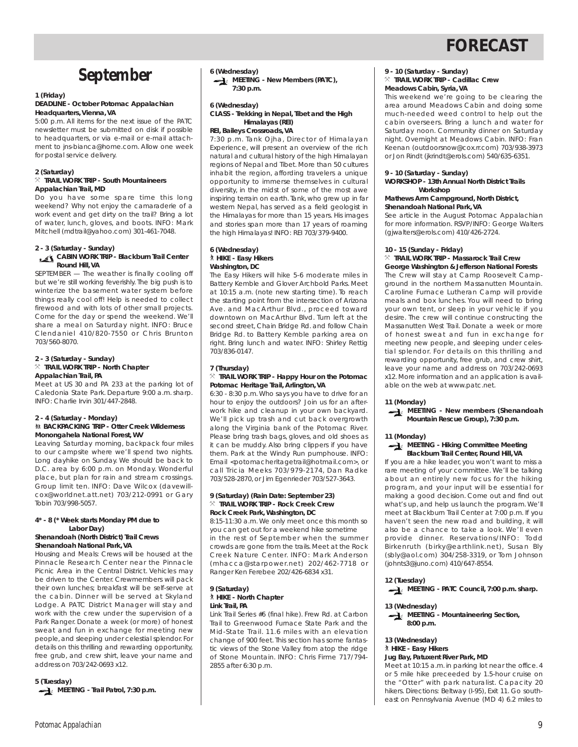## **September**

#### **1 (Friday) DEADLINE - October** *Potomac Appalachian* **Headquarters, Vienna, VA**

5:00 p.m. All items for the next issue of the PATC newsletter must be submitted on disk if possible to headquarters, or via e-mail or e-mail attachment to jns-bianca@home.com. Allow one week for postal service delivery.

#### **2 (Saturday)**

#### $%$  TRAIL WORK TRIP - South Mountaineers **Appalachian Trail, MD**

Do you have some spare time this long weekend? Why not enjoy the camaraderie of a work event and get dirty on the trail? Bring a lot of water, lunch, gloves, and boots. INFO: Mark Mitchell (mdtrail@yahoo.com) 301-461-7048.

#### **2 - 3 (Saturday - Sunday) CABIN WORK TRIP - Blackburn Trail Center Round Hill, VA**

SEPTEMBER — The weather is finally cooling off but we're still working feverishly. The big push is to winterize the basement water system before things really cool off! Help is needed to collect firewood and with lots of other small projects. Come for the day or spend the weekend. We'll share a meal on Saturday night. INFO: Bruce Clendaniel 410/820-7550 or Chris Brunton 703/560-8070.

#### **2 - 3 (Saturday - Sunday)** } **TRAIL WORK TRIP - North Chapter Appalachian Trail, PA**

Meet at US 30 and PA 233 at the parking lot of Caledonia State Park. Departure 9:00 a.m. sharp. INFO: Charlie Irvin 301/447-2848.

#### **2 - 4 (Saturday - Monday) M BACKPACKING TRIP - Otter Creek Wilderness Monongahela National Forest, WV**

Leaving Saturday morning, backpack four miles to our campsite where we'll spend two nights. Long dayhike on Sunday. We should be back to D.C. area by 6:00 p.m. on Monday. Wonderful place, but plan for rain and stream crossings. Group limit ten. INFO: Dave Wilcox (davewillcox@worldnet.att.net) 703/212-0991 or Gary Tobin 703/998-5057.

#### **4\* - 8 (\* Week starts Monday PM due to Labor Day) Shenandoah (North District) Trail Crews**

## **Shenandoah National Park, VA**

Housing and Meals: Crews will be housed at the Pinnacle Research Center near the Pinnacle Picnic Area in the Central District. Vehicles may be driven to the Center. Crewmembers will pack their own lunches; breakfast will be self-serve at the cabin. Dinner will be served at Skyland Lodge. A PATC District Manager will stay and work with the crew under the supervision of a Park Ranger. Donate a week (or more) of honest sweat and fun in exchange for meeting new people, and sleeping under celestial splendor. For details on this thrilling and rewarding opportunity, free grub, and crew shirt, leave your name and address on 703/242-0693 x12.

**5 (Tuesday) MEETING - Trail Patrol, 7:30 p.m.** 

#### **6 (Wednesday) MEETING - New Members (PATC)**,  $7:30 \, \text{m}$

#### **6 (Wednesday)**

#### **CLASS - Trekking in Nepal, Tibet and the High Himalayas (REI)**

#### **REI, Baileys Crossroads, VA**

7:30 p.m. Tank Ojha, Director of Himalayan Experience, will present an overview of the rich natural and cultural history of the high Himalayan regions of Nepal and Tibet. More than 50 cultures inhabit the region, affording travelers a unique opportunity to immerse themselves in cultural diversity, in the midst of some of the most awe inspiring terrain on earth. Tank, who grew up in far western Nepal, has served as a field geologist in the Himalayas for more than 15 years. His images and stories span more than 17 years of roaming the high Himalayas! INFO: REI 703/379-9400.

#### **6 (Wednesday)** ` **HIKE - Easy Hikers Washington, DC**

The Easy Hikers will hike 5-6 moderate miles in Battery Kemble and Glover Archbold Parks. Meet at 10:15 a.m. (note new starting time). To reach the starting point from the intersection of Arizona Ave. and MacArthur Blvd., proceed toward downtown on MacArthur Blvd. Turn left at the second street, Chain Bridge Rd. and follow Chain Bridge Rd. to Battery Kemble parking area on right. Bring lunch and water. INFO: Shirley Rettig 703/836-0147.

## **7 (Thursday)**

#### $%$  **TRAIL WORK TRIP - Happy Hour on the Potomac Potomac Heritage Trail, Arlington, VA**

6:30 - 8:30 p.m. Who says you have to drive for an hour to enjoy the outdoors? Join us for an afterwork hike and cleanup in your own backyard. We'll pick up trash and cut back overgrowth along the Virginia bank of the Potomac River. Please bring trash bags, gloves, and old shoes as it can be muddy. Also bring clippers if you have them. Park at the Windy Run pumphouse. INFO: Email <potomacheritagetrail@hotmail.com>, or call Tricia Meeks 703/979-2174, Dan Radke 703/528-2870, or Jim Egenrieder 703/527-3643.

#### **9 (Saturday) (Rain Date: September 23)** } **TRAIL WORK TRIP - Rock Creek Crew Rock Creek Park, Washington, DC**

8:15-11:30 a.m. We only meet once this month so you can get out for a weekend hike sometime in the rest of September when the summer crowds are gone from the trails. Meet at the Rock Creek Nature Center. INFO: Mark Anderson (mhacca@starpower.net) 202/462-7718 or Ranger Ken Ferebee 202/426-6834 x31.

#### **9 (Saturday)** ` **HIKE - North Chapter Link Trail, PA**

Link Trail Series #6 (final hike). Frew Rd. at Carbon Trail to Greenwood Furnace State Park and the Mid-State Trail. 11.6 miles with an elevation change of 900 feet. This section has some fantastic views of the Stone Valley from atop the ridge of Stone Mountain. INFO: Chris Firme 717/794- 2855 after 6:30 p.m.

#### **9 - 10 (Saturday - Sunday)** } **TRAIL WORK TRIP - Cadillac Crew Meadows Cabin, Syria, VA**

This weekend we're going to be clearing the area around Meadows Cabin and doing some much-needed weed control to help out the cabin overseers. Bring a lunch and water for Saturday noon. Community dinner on Saturday night. Overnight at Meadows Cabin. INFO: Fran Keenan (outdoorsnow@cox.rr.com) 703/938-3973 or Jon Rindt (jkrindt@erols.com) 540/635-6351.

#### **9 - 10 (Saturday - Sunday)**

#### **WORKSHOP - 13th Annual North District Trails Workshop**

#### **Mathews Arm Campground, North District, Shenandoah National Park, VA**

See article in the August *Potomac Appalachian* for more information. RSVP/INFO: George Walters (gjwalters@erols.com) 410/426-2724.

#### **10 - 15 (Sunday - Friday)**

#### } **TRAIL WORK TRIP - Massarock Trail Crew George Washington & Jefferson National Forests**

The Crew will stay at Camp Roosevelt Campground in the northern Massanutten Mountain. Caroline Furnace Lutheran Camp will provide meals and box lunches. You will need to bring your own tent, or sleep in your vehicle if you desire. The crew will continue constructing the Massanutten West Trail. Donate a week or more of honest sweat and fun in exchange for meeting new people, and sleeping under celestial splendor. For details on this thrilling and rewarding opportunity, free grub, and crew shirt, leave your name and address on 703/242-0693 x12. More information and an application is available on the web at www.patc.net.

#### **11 (Monday)**

#### **MEETING - New members (Shenandoah Mountain Rescue Group), 7:30 p.m.**

#### **11 (Monday)**

#### **MEETING - Hiking Committee Meeting Blackburn Trail Center, Round Hill, VA**

If you are a hike leader, you won't want to miss a rare meeting of your committee. We'll be talking about an entirely new focus for the hiking program, and your input will be essential for making a good decision. Come out and find out what's up, and help us launch the program. We'll meet at Blackburn Trail Center at 7:00 p.m. If you haven't seen the new road and building, it will also be a chance to take a look. We'll even provide dinner. Reservations/INFO: Todd Birkenruth (birky@earthlink.net), Susan Bly (sbly@aol.com) 304/258-3319, or Tom Johnson (johnts3@juno.com) 410/647-8554.

#### **12 (Tuesday)**

**MEETING - PATC Council, 7:00 p.m. sharp.**

#### **13 (Wednesday)**

**MEETING - Mountaineering Section, 8:00 p.m.**

#### **13 (Wednesday)**

#### ` **HIKE - Easy Hikers**

#### **Jug Bay, Patuxent River Park, MD**

Meet at 10:15 a.m. in parking lot near the office. 4 or 5 mile hike preceeded by 1.5-hour cruise on the "Otter" with park naturalist. Capacity 20 hikers. Directions: Beltway (I-95), Exit 11. Go southeast on Pennsylvania Avenue (MD 4) 6.2 miles to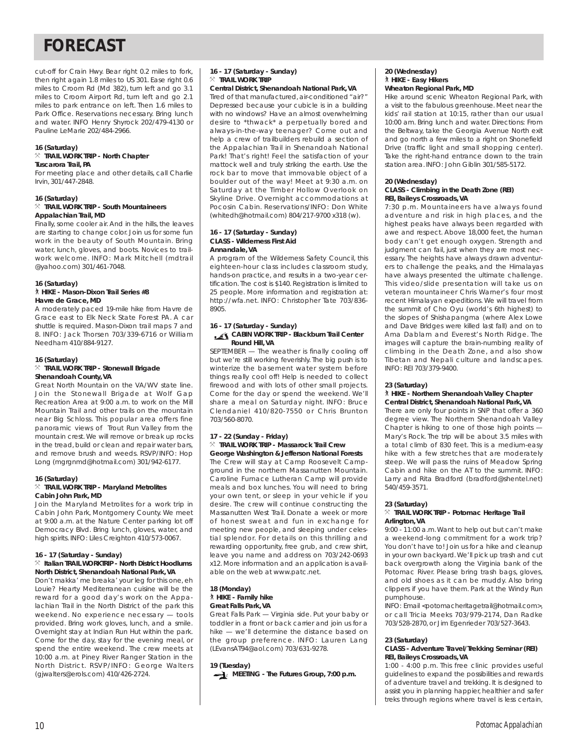cut-off for Crain Hwy. Bear right 0.2 miles to fork, then right again 1.8 miles to US 301. Ease right 0.6 miles to Croom Rd (Md 382), turn left and go 3.1 miles to Croom Airport Rd, turn left and go 2.1 miles to park entrance on left. Then 1.6 miles to Park Office. Reservations necessary. Bring lunch and water. INFO Henry Shyrock 202/479-4130 or Pauline LeMarie 202/484-2966.

#### **16 (Saturday)** } **TRAIL WORK TRIP - North Chapter Tuscarora Trail, PA**

For meeting place and other details, call Charlie Irvin, 301/447-2848.

#### **16 (Saturday)**

#### } **TRAIL WORK TRIP - South Mountaineers Appalachian Trail, MD**

Finally, some cooler air. And in the hills, the leaves are starting to change color. Join us for some fun work in the beauty of South Mountain. Bring water, lunch, gloves, and boots. Novices to trailwork welcome. INFO: Mark Mitchell (mdtrail @yahoo.com) 301/461-7048.

#### **16 (Saturday)**

#### ` **HIKE - Mason-Dixon Trail Series #8 Havre de Grace, MD**

A moderately paced 19-mile hike from Havre de Grace east to Elk Neck State Forest PA. A car shuttle is required. Mason-Dixon trail maps 7 and 8. INFO: Jack Thorsen 703/339-6716 or William Needham 410/884-9127.

#### **16 (Saturday)**

#### } **TRAIL WORK TRIP - Stonewall Brigade Shenandoah County, VA**

Great North Mountain on the VA/WV state line. Join the Stonewall Brigade at Wolf Gap Recreation Area at 9:00 a.m. to work on the Mill Mountain Trail and other trails on the mountain near Big Schloss. This popular area offers fine panoramic views of Trout Run Valley from the mountain crest. We will remove or break up rocks in the tread, build or clean and repair water bars, and remove brush and weeds. RSVP/INFO: Hop Long (mgrgnmd@hotmail.com) 301/942-6177.

#### **16 (Saturday)**

#### } **TRAIL WORK TRIP - Maryland Metrolites Cabin John Park, MD**

Join the Maryland Metrolites for a work trip in Cabin John Park, Montgomery County. We meet at 9:00 a.m. at the Nature Center parking lot off Democracy Blvd. Bring lunch, gloves, water, and high spirits. INFO: Liles Creighton 410/573-0067.

#### **16 - 17 (Saturday - Sunday)** } **Italian TRAIL WORKTRIP - North District Hoodlums North District, Shenandoah National Park, VA**

Don't makka' me breaka' your leg for this one, eh Louie? Hearty Mediterranean cuisine will be the reward for a good day's work on the Appalachian Trail in the North District of the park this weekend. No experience necessary — tools provided. Bring work gloves, lunch, and a smile. Overnight stay at Indian Run Hut within the park. Come for the day, stay for the evening meal, or spend the entire weekend. The crew meets at 10:00 a.m. at Piney River Ranger Station in the North District. RSVP/INFO: George Walters (gjwalters@erols.com) 410/426-2724.

#### **16 - 17 (Saturday - Sunday)**  $\times$  **TRAIL WORK TRIP Central District, Shenandoah National Park, VA**

Tired of that manufactured, air-conditioned "air?" Depressed because your cubicle is in a building with no windows? Have an almost overwhelming desire to \*thwack\* a perpetually bored and always-in-the-way teenager? Come out and help a crew of trailbuilders rebuild a section of the Appalachian Trail in Shenandoah National Park! That's right! Feel the satisfaction of your mattock well and truly striking the earth. Use the rock bar to move that immovable object of a boulder out of the way! Meet at 9:30 a.m. on Saturday at the Timber Hollow Overlook on Skyline Drive. Overnight accommodations at Pocosin Cabin. Reservations/INFO: Don White (whitedh@hotmail.com) 804/217-9700 x318 (w).

#### **16 - 17 (Saturday - Sunday) CLASS - Wilderness First Aid Annandale, VA**

A program of the Wilderness Safety Council, this eighteen-hour class includes classroom study, hands-on practice, and results in a two-year certification. The cost is \$140. Registration is limited to 25 people. More information and registration at: http://wfa.net. INFO: Christopher Tate 703/836- 8905.

#### **16 - 17 (Saturday - Sunday)**

#### **CABIN WORK TRIP - Blackburn Trail Center Round Hill, VA**

SEPTEMBER — The weather is finally cooling off but we're still working feverishly. The big push is to winterize the basement water system before things really cool off! Help is needed to collect firewood and with lots of other small projects. Come for the day or spend the weekend. We'll share a meal on Saturday night. INFO: Bruce Clendaniel 410/820-7550 or Chris Brunton 703/560-8070.

#### **17 - 22 (Sunday - Friday)** } **TRAIL WORK TRIP - Massarock Trail Crew George Washington & Jefferson National Forests**

The Crew will stay at Camp Roosevelt Campground in the northern Massanutten Mountain. Caroline Furnace Lutheran Camp will provide meals and box lunches. You will need to bring your own tent, or sleep in your vehicle if you desire. The crew will continue constructing the Massanutten West Trail. Donate a week or more of honest sweat and fun in exchange for meeting new people, and sleeping under celestial splendor. For details on this thrilling and rewarding opportunity, free grub, and crew shirt, leave you name and address on 703/242-0693 x12. More information and an application is available on the web at www.patc.net.

#### **18 (Monday)** ` **HIKE - Family hike Great Falls Park, VA**

Great Falls Park — Virginia side. Put your baby or toddler in a front or back carrier and join us for a hike — we'll determine the distance based on the group preference. INFO: Lauren Lang (LEvansAT94@aol.com) 703/631-9278.

**19 (Tuesday) MEETING - The Futures Group, 7:00 p.m.**

#### **20 (Wednesday)** ` **HIKE - Easy Hikers Wheaton Regional Park, MD**

Hike around scenic Wheaton Regional Park, with a visit to the fabulous greenhouse. Meet near the kids' rail station at 10:15, rather than our usual 10:00 am. Bring lunch and water. Directions: From the Beltway, take the Georgia Avenue North exit and go north a few miles to a right on Shonefield Drive (traffic light and small shopping center). Take the right-hand entrance down to the train station area. INFO: John Giblin 301/585-5172.

#### **20 (Wednesday) CLASS - Climbing in the Death Zone (REI) REI, Baileys Crossroads, VA**

7:30 p.m. Mountaineers have always found adventure and risk in high places, and the highest peaks have always been regarded with awe and respect. Above 18,000 feet, the human body can't get enough oxygen. Strength and judgment can fail, just when they are most necessary. The heights have always drawn adventurers to challenge the peaks, and the Himalayas have always presented the ultimate challenge. This video/slide presentation will take us on veteran mountaineer Chris Warner's four most recent Himalayan expeditions. We will travel from the summit of Cho Oyu (world's 6th highest) to the slopes of Shishapangma (where Alex Lowe and Dave Bridges were killed last fall) and on to Ama Dablam and Everest's North Ridge. The images will capture the brain-numbing reality of climbing in the Death Zone, and also show Tibetan and Nepali culture and landscapes. INFO: REI 703/379-9400.

#### **23 (Saturday)**

#### ` **HIKE - Northern Shenandoah Valley Chapter Central District, Shenandoah National Park, VA**

There are only four points in SNP that offer a 360 degree view. The Northern Shenandoah Valley Chapter is hiking to one of those high points — Mary's Rock. The trip will be about 3.5 miles with a total climb of 830 feet. This is a medium-easy hike with a few stretches that are moderately steep. We will pass the ruins of Meadow Spring Cabin and hike on the AT to the summit. INFO: Larry and Rita Bradford (bradford@shentel.net) 540/459-3571.

#### **23 (Saturday)**

#### } **TRAIL WORK TRIP - Potomac Heritage Trail Arlington, VA**

9:00 - 11:00 a.m.Want to help out but can't make a weekend-long commitment for a work trip? You don't have to! Join us for a hike and cleanup in your own backyard. We'll pick up trash and cut back overgrowth along the Virginia bank of the Potomac River. Please bring trash bags, gloves, and old shoes as it can be muddy. Also bring clippers if you have them. Park at the Windy Run pumphouse.

INFO: Email <potomacheritagetrail@hotmail.com>, or call Tricia Meeks 703/979-2174, Dan Radke 703/528-2870, or Jim Egenrieder 703/527-3643.

#### **23 (Saturday)**

#### **CLASS - Adventure Travel/Trekking Seminar (REI) REI, Baileys Crossroads, VA**

1:00 - 4:00 p.m. This free clinic provides useful guidelines to expand the possibilities and rewards of adventure travel and trekking. It is designed to assist you in planning happier, healthier and safer treks through regions where travel is less certain,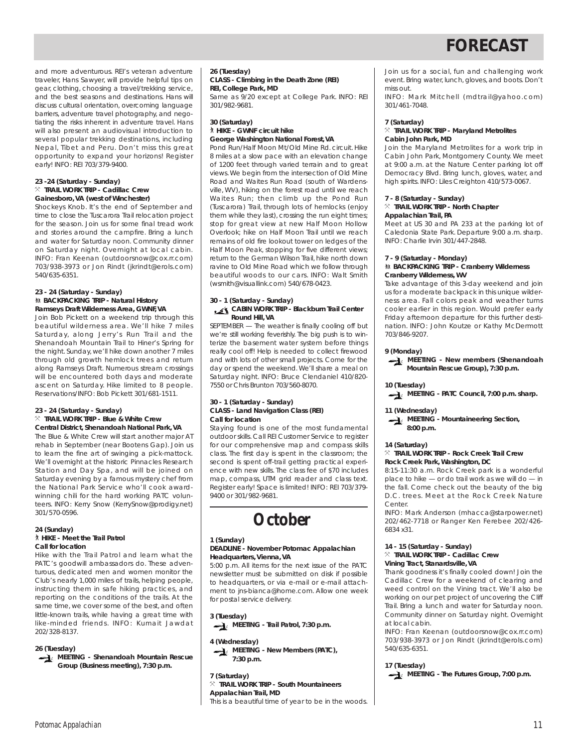and more adventurous. REI's veteran adventure traveler, Hans Sawyer, will provide helpful tips on gear, clothing, choosing a travel/trekking service, and the best seasons and destinations. Hans will discuss cultural orientation, overcoming language barriers, adventure travel photography, and negotiating the risks inherent in adventure travel. Hans will also present an audiovisual introduction to several popular trekking destinations, including Nepal, Tibet and Peru. Don't miss this great opportunity to expand your horizons! Register early! INFO: REI 703/379-9400.

#### **23 -24 (Saturday - Sunday)** } **TRAIL WORK TRIP - Cadillac Crew Gainesboro, VA (west of Winchester)**

Shockeys Knob. It's the end of September and time to close the Tuscarora Trail relocation project for the season. Join us for some final tread work and stories around the campfire. Bring a lunch and water for Saturday noon. Community dinner on Saturday night. Overnight at local cabin. INFO: Fran Keenan (outdoorsnow@cox.rr.com) 703/938-3973 or Jon Rindt (jkrindt@erols.com) 540/635-6351.

#### **23 - 24 (Saturday - Sunday) M** BACKPACKING TRIP - Natural History **Ramseys Draft Wilderness Area, GWNF, VA**

Join Bob Pickett on a weekend trip through this beautiful wilderness area. We'll hike 7 miles Saturday, along Jerry's Run Trail and the Shenandoah Mountain Trail to Hiner's Spring for the night. Sunday, we'll hike down another 7 miles through old growth hemlock trees and return along Ramseys Draft. Numerous stream crossings will be encountered both days and moderate ascent on Saturday. Hike limited to 8 people. Reservations/INFO: Bob Pickett 301/681-1511.

#### **23 - 24 (Saturday - Sunday)**  $\%$  **TRAIL WORK TRIP - Blue & White Crew**

**Central District, Shenandoah National Park, VA** The Blue & White Crew will start another major AT rehab in September (near Bootens Gap). Join us to learn the fine art of swinging a pick-mattock. We'll overnight at the historic Pinnacles Research Station and Day Spa, and will be joined on Saturday evening by a famous mystery chef from the National Park Service who'll cook awardwinning chili for the hard working PATC volunteers. INFO: Kerry Snow (KerrySnow@prodigy.net) 301/570-0596.

#### **24 (Sunday)** ` **HIKE - Meet the Trail Patrol Call for location**

Hike with the Trail Patrol and learn what the PATC's goodwill ambassadors do. These adventurous, dedicated men and women monitor the Club's nearly 1,000 miles of trails, helping people, instructing them in safe hiking practices, and reporting on the conditions of the trails. At the same time, we cover some of the best, and often little-known trails, while having a great time with like-minded friends. INFO: Kumait Jawdat 202/328-8137.

#### **26 (Tuesday)**



**26 (Tuesday) CLASS - Climbing in the Death Zone (REI) REI, College Park, MD** Same as 9/20 except at College Park. INFO: REI

## 301/982-9681.

#### **30 (Saturday)** ` **HIKE - GWNF circuit hike George Washington National Forest, VA**

Pond Run/Half Moon Mt/Old Mine Rd. circuit. Hike 8 miles at a slow pace with an elevation change of 1200 feet through varied terrain and to great views.We begin from the intersection of Old Mine Road and Waites Run Road (south of Wardensville, WV), hiking on the forest road until we reach Waites Run; then climb up the Pond Run (Tuscarora) Trail, through lots of hemlocks (enjoy them while they last), crossing the run eight times; stop for great view at new Half Moon Hollow Overlook; hike on Half Moon Trail until we reach remains of old fire lookout tower on ledges of the Half Moon Peak, stopping for five different views; return to the German Wilson Trail, hike north down ravine to Old Mine Road which we follow through beautiful woods to our cars. INFO: Walt Smith (wsmith@visuallink.com) 540/678-0423.

#### **30 - 1 (Saturday - Sunday)**

#### **CABIN WORK TRIP - Blackburn Trail Center Round Hill, VA**

SEPTEMBER — The weather is finally cooling off but we're still working feverishly. The big push is to winterize the basement water system before things really cool off! Help is needed to collect firewood and with lots of other small projects. Come for the day or spend the weekend. We'll share a meal on Saturday night. INFO: Bruce Clendaniel 410/820- 7550 or Chris Brunton 703/560-8070.

#### **30 - 1 (Saturday - Sunday) CLASS - Land Navigation Class (REI) Call for location**

Staying found is one of the most fundamental outdoor skills. Call REI Customer Service to register for our comprehensive map and compass skills class. The first day is spent in the classroom; the second is spent off-trail getting practical experience with new skills. The class fee of \$70 includes map, compass, UTM grid reader and class text. Register early! Space is limited! INFO: REI 703/379- 9400 or 301/982-9681.

**October** 

#### **1 (Sunday)**

#### **DEADLINE - November** *Potomac Appalachian* **Headquarters, Vienna, VA**

5:00 p.m. All items for the next issue of the PATC newsletter must be submitted on disk if possible to headquarters, or via e-mail or e-mail attachment to jns-bianca@home.com. Allow one week for postal service delivery.

**3 (Tuesday) MEETING - Trail Patrol, 7:30 p.m.** 

**4 (Wednesday)**

**MEETING - New Members (PATC), 7:30 p.m.**

**7 (Saturday)**  $%$  TRAIL WORK TRIP - South Mountaineers **Appalachian Trail, MD** This is a beautiful time of year to be in the woods.

Join us for a social, fun and challenging work event. Bring water, lunch, gloves, and boots. Don't miss out.

INFO: Mark Mitchell (mdtrail@yahoo.com) 301/461-7048.

### **7 (Saturday)**

#### } **TRAIL WORK TRIP - Maryland Metrolites Cabin John Park, MD**

Join the Maryland Metrolites for a work trip in Cabin John Park, Montgomery County. We meet at 9:00 a.m. at the Nature Center parking lot off Democracy Blvd. Bring lunch, gloves, water, and high spirits. INFO: Liles Creighton 410/573-0067.

#### **7 - 8 (Saturday - Sunday)**  $%$  **TRAIL WORK TRIP - North Chapter**

#### **Appalachian Trail, PA**

Meet at US 30 and PA 233 at the parking lot of Caledonia State Park. Departure 9:00 a.m. sharp. INFO: Charlie Irvin 301/447-2848.

## **7 - 9 (Saturday - Monday)**

#### **MR** BACKPACKING TRIP - Cranberry Wilderness **Cranberry Wilderness, WV**

Take advantage of this 3-day weekend and join us for a moderate backpack in this unique wilderness area. Fall colors peak and weather turns cooler earlier in this region. Would prefer early Friday afternoon departure for this further destination. INFO: John Koutze or Kathy McDermott 703/846-9207.

#### **9 (Monday)**

**MEETING - New members (Shenandoah Mountain Rescue Group), 7:30 p.m.**

**10 (Tuesday)**

**MEETING - PATC Council, 7:00 p.m. sharp.**

#### **11 (Wednesday)**

**MEETING - Mountaineering Section. 8:00 p.m.**

#### **14 (Saturday)**

#### } **TRAIL WORK TRIP - Rock Creek Trail Crew Rock Creek Park, Washington, DC**

8:15-11:30 a.m. Rock Creek park is a wonderful place to hike — or do trail work as we will do — in the fall. Come check out the beauty of the big D.C. trees. Meet at the Rock Creek Nature Center.

INFO: Mark Anderson (mhacca@starpower.net) 202/462-7718 or Ranger Ken Ferebee 202/426- 6834 x31.

#### **14 - 15 (Saturday - Sunday)**

#### } **TRAIL WORK TRIP - Cadillac Crew Vining Tract, Stanardsville, VA**

Thank goodness it's finally cooled down! Join the Cadillac Crew for a weekend of clearing and weed control on the Vining tract. We'll also be working on our pet project of uncovering the Cliff Trail. Bring a lunch and water for Saturday noon. Community dinner on Saturday night. Overnight at local cabin.

INFO: Fran Keenan (outdoorsnow@cox.rr.com) 703/938-3973 or Jon Rindt (jkrindt@erols.com) 540/635-6351.

**17 (Tuesday)**

**MEETING - The Futures Group, 7:00 p.m.**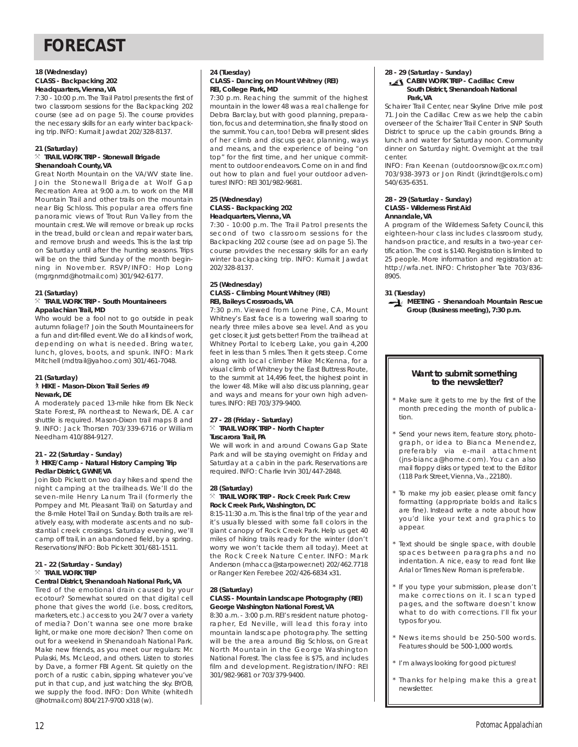#### **18 (Wednesday) CLASS - Backpacking 202 Headquarters, Vienna, VA**

7:30 - 10:00 p.m. The Trail Patrol presents the first of two classroom sessions for the Backpacking 202 course (see ad on page 5). The course provides the necessary skills for an early winter backpacking trip. INFO: Kumait Jawdat 202/328-8137.

## **21 (Saturday)**

#### } **TRAIL WORK TRIP - Stonewall Brigade Shenandoah County, VA**

Great North Mountain on the VA/WV state line. Join the Stonewall Brigade at Wolf Gap Recreation Area at 9:00 a.m. to work on the Mill Mountain Trail and other trails on the mountain near Big Schloss. This popular area offers fine panoramic views of Trout Run Valley from the mountain crest. We will remove or break up rocks in the tread, build or clean and repair water bars, and remove brush and weeds. This is the last trip on Saturday until after the hunting seasons. Trips will be on the third Sunday of the month beginning in November. RSVP/INFO: Hop Long (mgrgnmd@hotmail.com) 301/942-6177.

#### **21 (Saturday)**

#### } **TRAIL WORK TRIP - South Mountaineers Appalachian Trail, MD**

Who would be a fool not to go outside in peak autumn foliage!? Join the South Mountaineers for a fun and dirt-filled event.We do all kinds of work, depending on what is needed. Bring water, lunch, gloves, boots, and spunk. INFO: Mark Mitchell (mdtrail@yahoo.com) 301/461-7048.

#### **21 (Saturday)** ` **HIKE - Mason-Dixon Trail Series #9 Newark, DE**

A moderately paced 13-mile hike from Elk Neck State Forest, PA northeast to Newark, DE. A car shuttle is required. Mason-Dixon trail maps 8 and 9. INFO: Jack Thorsen 703/339-6716 or William Needham 410/884-9127.

#### **21 - 22 (Saturday - Sunday)** ` **HIKE/Camp - Natural History Camping Trip Pedlar District, GWNF, VA**

Join Bob Pickett on two day hikes and spend the night camping at the trailheads. We'll do the seven-mile Henry Lanum Trail (formerly the Pompey and Mt. Pleasant Trail) on Saturday and the 8-mile Hotel Trail on Sunday. Both trails are relatively easy, with moderate ascents and no substantial creek crossings. Saturday evening, we'll camp off trail, in an abandoned field, by a spring. Reservations/INFO: Bob Pickett 301/681-1511.

#### **21 - 22 (Saturday - Sunday)**  $%$  TRAIL WORK TRIP

### **Central District, Shenandoah National Park, VA**

Tired of the emotional drain caused by your ecotour? Somewhat soured on that digital cell phone that gives the world (i.e. boss, creditors, marketers, etc.) access to you 24/7 over a variety of media? Don't wanna see one more brake light, or make one more decision? Then come on out for a weekend in Shenandoah National Park. Make new friends, as you meet our regulars: Mr. Pulaski, Ms. McLeod, and others. Listen to stories by Dave, a former FBI Agent. Sit quietly on the porch of a rustic cabin, sipping whatever you've put in that cup, and just watching the sky. BYOB, we supply the food. INFO: Don White (whitedh @hotmail.com) 804/217-9700 x318 (w).

### **24 (Tuesday)**

#### **CLASS - Dancing on Mount Whitney (REI) REI, College Park, MD**

7:30 p.m. Reaching the summit of the highest mountain in the lower 48 was a real challenge for Debra Barclay, but with good planning, preparation, focus and determination, she finally stood on the summit.You can, too! Debra will present slides of her climb and discuss gear, planning, ways and means, and the experience of being "on top" for the first time, and her unique commitment to outdoor endeavors. Come on in and find out how to plan and fuel your outdoor adventures! INFO: REI 301/982-9681.

#### **25 (Wednesday) CLASS - Backpacking 202 Headquarters, Vienna, VA**

7:30 - 10:00 p.m. The Trail Patrol presents the second of two classroom sessions for the Backpacking 202 course (see ad on page 5). The course provides the necessary skills for an early winter backpacking trip. INFO: Kumait Jawdat 202/328-8137.

#### **25 (Wednesday) CLASS - Climbing Mount Whitney (REI) REI, Baileys Crossroads, VA**

7:30 p.m. Viewed from Lone Pine, CA, Mount Whitney's East face is a towering wall soaring to nearly three miles above sea level. And as you get closer, it just gets better! From the trailhead at Whitney Portal to Iceberg Lake, you gain 4,200 feet in less than 5 miles. Then it gets steep. Come along with local climber Mike McKenna, for a visual climb of Whitney by the East Buttress Route, to the summit at 14,496 feet, the highest point in the lower 48. Mike will also discuss planning, gear and ways and means for your own high adventures. INFO: REI 703/379-9400.

#### **27 - 28 (Friday - Saturday)**  $%$  **TRAIL WORK TRIP - North Chapter Tuscarora Trail, PA**

We will work in and around Cowans Gap State Park and will be staying overnight on Friday and Saturday at a cabin in the park. Reservations are required. INFO: Charlie Irvin 301/447-2848.

#### **28 (Saturday)**

#### } **TRAIL WORK TRIP - Rock Creek Park Crew Rock Creek Park, Washington, DC**

8:15-11:30 a.m. This is the final trip of the year and it's usually blessed with some fall colors in the giant canopy of Rock Creek Park. Help us get 40 miles of hiking trails ready for the winter (don't worry we won't tackle them all today). Meet at the Rock Creek Nature Center. INFO: Mark Anderson (mhacca@starpower.net) 202/462.7718 or Ranger Ken Ferebee 202/426-6834 x31.

#### **28 (Saturday)**

#### **CLASS - Mountain Landscape Photography (REI) George Washington National Forest, VA**

8:30 a.m. - 3:00 p.m. REI's resident nature photographer, Ed Neville, will lead this foray into mountain landscape photography. The setting will be the area around Big Schloss, on Great North Mountain in the George Washington National Forest. The class fee is \$75, and includes film and development. Registration/INFO: REI 301/982-9681 or 703/379-9400.

#### **28 - 29 (Saturday - Sunday)**

#### **CABIN WORK TRIP - Cadillac Crew South District, Shenandoah National Park,VA**

Schairer Trail Center, near Skyline Drive mile post 71. Join the Cadillac Crew as we help the cabin overseer of the Schairer Trail Center in SNP South District to spruce up the cabin grounds. Bring a lunch and water for Saturday noon. Community dinner on Saturday night. Overnight at the trail center.

INFO: Fran Keenan (outdoorsnow@cox.rr.com) 703/938-3973 or Jon Rindt (jkrindt@erols.com) 540/635-6351.

#### **28 - 29 (Saturday - Sunday) CLASS - Wilderness First Aid Annandale, VA**

A program of the Wilderness Safety Council, this eighteen-hour class includes classroom study, hands-on practice, and results in a two-year certification. The cost is \$140. Registration is limited to 25 people. More information and registration at: http://wfa.net. INFO: Christopher Tate 703/836- 8905.

#### **31 (Tuesday)**

**MEETING - Shenandoah Mountain Rescue Group (Business meeting), 7:30 p.m.**

#### **Want to submit something to the newsletter?**

- Make sure it gets to me by the first of the month preceding the month of publication.
- Send your news item, feature story, photograph, or idea to Bianca Menendez, preferably via e-mail attachment (jns-bianca@home.com). You can also mail floppy disks or typed text to the Editor (118 Park Street,Vienna,Va., 22180).
- To make my job easier, please omit fancy formatting (appropriate bolds and italics are fine). Instead write a note about how you'd like your text and graphics to appear.
- Text should be single space, with double spaces between paragraphs and no indentation. A nice, easy to read font like Arial or Times New Roman is preferable.
- If you type your submission, please don't make corrections on it. I scan typed pages, and the software doesn't know what to do with corrections. I'll fix your typos for you.
- News items should be 250-500 words. Features should be 500-1,000 words.
- I'm always looking for good pictures!
- Thanks for helping make this a great newsletter.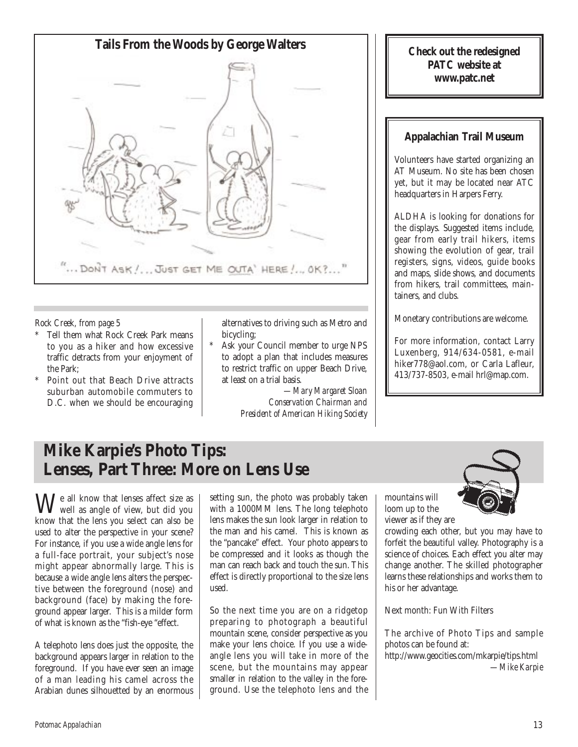

### *Rock Creek, from page 5*

- Tell them what Rock Creek Park means to you as a hiker and how excessive traffic detracts from your enjoyment of the Park;
- Point out that Beach Drive attracts suburban automobile commuters to D.C. when we should be encouraging

alternatives to driving such as Metro and bicycling;

Ask your Council member to urge NPS to adopt a plan that includes measures to restrict traffic on upper Beach Drive, at least on a trial basis.

> *—Mary Margaret Sloan Conservation Chairman and President of American Hiking Society*

## **PATC website at www.patc.net**

## **Appalachian Trail Museum**

Volunteers have started organizing an AT Museum. No site has been chosen yet, but it may be located near ATC headquarters in Harpers Ferry.

ALDHA is looking for donations for the displays. Suggested items include, gear from early trail hikers, items showing the evolution of gear, trail registers, signs, videos, guide books and maps, slide shows, and documents from hikers, trail committees, maintainers, and clubs.

Monetary contributions are welcome.

For more information, contact Larry Luxenberg, 914/634-0581, e-mail hiker778@aol.com, or Carla Lafleur, 413/737-8503, e-mail hrl@map.com.

## **Mike Karpie's Photo Tips: Lenses, Part Three: More on Lens Use**

 $\mathbf{W}_{\text{well}}^{\text{e}}$  all know that lenses affect size as know that the lens you select can also be used to alter the perspective in your scene? For instance, if you use a wide angle lens for a full-face portrait, your subject's nose might appear abnormally large. This is because a wide angle lens alters the perspective between the foreground (nose) and background (face) by making the foreground appear larger. This is a milder form of what is known as the "fish-eye "effect.

A telephoto lens does just the opposite, the background appears larger in relation to the foreground. If you have ever seen an image of a man leading his camel across the Arabian dunes silhouetted by an enormous setting sun, the photo was probably taken with a 1000MM lens. The long telephoto lens makes the sun look larger in relation to the man and his camel. This is known as the "pancake" effect. Your photo appears to be compressed and it looks as though the man can reach back and touch the sun. This effect is directly proportional to the size lens used.

So the next time you are on a ridgetop preparing to photograph a beautiful mountain scene, consider perspective as you make your lens choice. If you use a wideangle lens you will take in more of the scene, but the mountains may appear smaller in relation to the valley in the foreground. Use the telephoto lens and the

mountains will loom up to the viewer as if they are

crowding each other, but you may have to forfeit the beautiful valley. Photography is a science of choices. Each effect you alter may change another. The skilled photographer learns these relationships and works them to his or her advantage.

Next month: Fun With Filters

The archive of Photo Tips and sample photos can be found at:

http://www.geocities.com/mkarpie/tips.html *—Mike Karpie*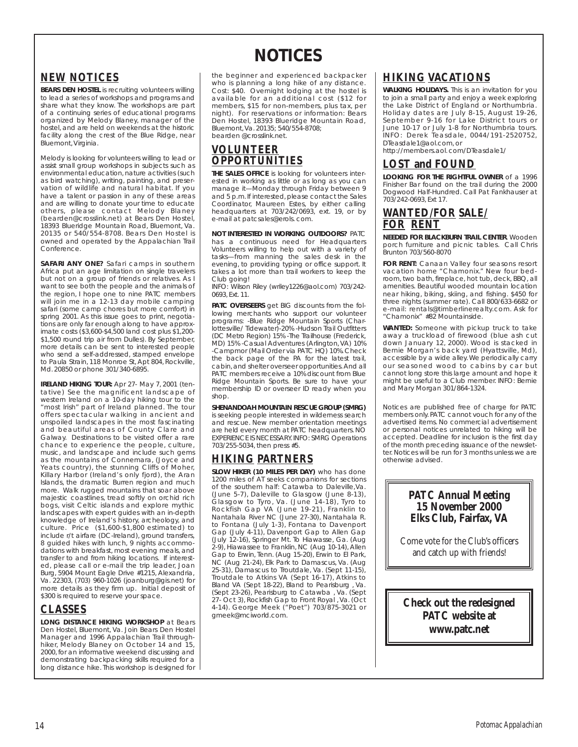## **NEW NOTICES**

**BEARS DEN HOSTEL** is recruiting volunteers willing to lead a series of workshops and programs and share what they know. The workshops are part of a continuing series of educational programs organized by Melody Blaney, manager of the hostel, and are held on weekends at the historic facility along the crest of the Blue Ridge, near Bluemont,Virginia.

Melody is looking for volunteers willing to lead or assist small group workshops in subjects such as environmental education, nature activities (such as bird watching), writing, painting, and preservation of wildlife and natural habitat. If you have a talent or passion in any of these areas and are willing to donate your time to educate others, please contact Melody Blaney (bearden@crosslink.net) at Bears Den Hostel, 18393 Blueridge Mountain Road, Bluemont, Va. 20135 or 540/554-8708. Bears Den Hostel is owned and operated by the Appalachian Trail Conference.

**SAFARI ANY ONE?** Safari camps in southern Africa put an age limitation on single travelers but not on a group of friends or relatives. As I want to see both the people and the animals of the region, I hope one to nine PATC members will join me in a 12-13 day mobile camping safari (some camp chores but more comfort) in spring 2001. As this issue goes to print, negotiations are only far enough along to have approximate costs (\$3,600-\$4,500 land cost plus \$1,200- \$1,500 round trip air from Dulles). By September, more details can be sent to interested people who send a self-addressed, stamped envelope to Paula Strain, 118 Monroe St, Apt 804, Rockville Md. 20850 or phone 301/340-6895.

**IRELAND HIKING TOUR:** Apr 27- May 7, 2001 (tentative) See the magnificent landscape of western Ireland on a 10-day hiking tour to the "most Irish" part of Ireland planned. The tour offers spectacular walking in ancient and unspoiled landscapes in the most fascinating and beautiful areas of County Clare and Galway. Destinations to be visited offer a rare chance to experience the people, culture, music, and landscape and include such gems as the mountains of Connemara, (Joyce and Yeats country), the stunning Cliffs of Moher, Killary Harbor (Ireland's only fjord), the Aran Islands, the dramatic Burren region and much more. Walk rugged mountains that soar above majestic coastlines, tread softly on orchid rich bogs, visit Celtic islands and explore mythic landscapes with expert guides with an in-depth knowledge of Ireland's history, archeology, and culture. Price (\$1,600-\$1,800 estimated) to include r/t airfare (DC-Ireland), ground transfers, 8 guided hikes with lunch, 9 nights accommodations with breakfast, most evening meals, and transfer to and from hiking locations. If interested, please call or e-mail the trip leader, Joan Burg, 5904 Mount Eagle Drive #1215, Alexandria, Va. 22303, (703) 960-1026 (joanburg@gis.net) for more details as they firm up. Initial deposit of \$300 is required to reserve your space.

## **CLASSES**

**LONG DISTANCE HIKING WORKSHOP** at Bears Den Hostel, Bluemont, Va. Join Bears Den Hostel Manager and 1996 Appalachian Trail throughhiker, Melody Blaney on October 14 and 15, 2000, for an informative weekend discussing and demonstrating backpacking skills required for a long distance hike. This workshop is designed for

## **NOTICES**

the beginner and experienced backpacker who is planning a long hike of any distance. Cost: \$40. Overnight lodging at the hostel is available for an additional cost (\$12 for members, \$15 for non-members, plus tax, per night). For reservations or information: Bears Den Hostel, 18393 Blueridge Mountain Road, Bluemont,Va. 20135; 540/554-8708; bearden @crosslink.net.

## **VOLUNTEER OPPORTUNITIES**

**THE SALES OFFICE** is looking for volunteers interested in working as little or as long as you can manage it—Monday through Friday between 9 and 5 p.m. If interested, please contact the Sales Coordinator, Maureen Estes, by either calling headquarters at 703/242/0693, ext. 19, or by e-mail at patcsales@erols. com.

**NOT INTERESTED IN WORKING OUTDOORS?** PATC has a continuous need for Headquarters Volunteers willing to help out with a variety of tasks—from manning the sales desk in the evening, to providing typing or office support. It takes a lot more than trail workers to keep the Club going!

INFO: Wilson Riley (wriley1226@aol.com) 703/242- 0693, Ext. 11.

**PATC OVERSEERS** get BIG discounts from the following merchants who support our volunteer programs: -Blue Ridge Mountain Sports (Charlottesville/ Tidewater)-20% -Hudson Trail Outfitters (DC Metro Region) 15% -The Trailhouse (Frederick, MD) 15% -Casual Adventures (Arlington, VA) 10% -Campmor (Mail Order via PATC HQ) 10%. Check the back page of the PA for the latest trail, cabin,and shelter overseer opportunities.And all PATC members receive a 10% discount from Blue Ridge Mountain Sports. Be sure to have your membership ID or overseer ID ready when you shop.

**SHENANDOAH MOUNTAIN RESCUE GROUP (SMRG)** is seeking people interested in wilderness search and rescue. New member orientation meetings are held every month at PATC headquarters. NO EXPERIENCE IS NECESSARY.INFO: SMRG Operations 703/255-5034, then press #5.

## **HIKING PARTNERS**

**SLOW HIKER (10 MILES PER DAY)** who has done 1200 miles of AT seeks companions for sections of the southern half: Catawba to Daleville,Va. (June 5-7), Daleville to Glasgow (June 8-13), Glasgow to Tyro, Va. (June 14-18), Tyro to Rockfish Gap VA (June 19-21), Franklin to Nantahala River NC (June 27-30), Nantahala R. to Fontana (July 1-3), Fontana to Davenport Gap (July 4-11), Davenport Gap to Allen Gap (July 12-16), Springer Mt. To Hiawasse, Ga. (Aug 2-9), Hiawassee to Franklin, NC (Aug 10-14), Allen Gap to Erwin, Tenn. (Aug 15-20), Erwin to El Park, NC (Aug 21-24), Elk Park to Damascus, Va. (Aug 25-31), Damascus to Troutdale, Va. (Sept 11-15), Troutdale to Atkins VA (Sept 16-17), Atkins to Bland VA (Sept 18-22), Bland to Pearisburg , Va. (Sept 23-26), Pearisburg to Catawba , Va. (Sept 27- Oct 3), Rockfish Gap to Front Royal , Va. (Oct 4-14). George Meek ("Poet") 703/875-3021 or gmeek@mciworld.com.

## **HIKING VACATIONS**

**WALKING HOLIDAYS.** This is an invitation for you to join a small party and enjoy a week exploring the Lake District of England or Northumbria. Holiday dates are July 8-15, August 19-26, September 9-16 for Lake District tours or June 10-17 or July 1-8 for Northumbria tours. INFO: Derek Teasdale, 0044/191-2520752, DTeasdale1@aol.com, or http://members.aol. com/DTeasdale1/

## **LOST and FOUND**

**LOOKING FOR THE RIGHTFUL OWNER** of a 1996 Finisher Bar found on the trail during the 2000 Dogwood Half-Hundred. Call Pat Fankhauser at 703/242-0693, Ext 17.

## **WANTED/FOR SALE/ FOR RENT**

**NEEDED FOR BLACKBURN TRAIL CENTER**. Wooden porch furniture and picnic tables. Call Chris Brunton 703/560-8070

**FOR RENT:** Canaan Valley four seasons resort vacation home "Chamonix." New four bedroom, two bath, fireplace, hot tub, deck, BBQ, all amenities. Beautiful wooded mountain location near hiking, biking, skiing, and fishing. \$450 for three nights (summer rate). Call 800/633-6682 or e-mail: rentals@timberlinerealty.com. Ask for "Chamonix" #82 Mountainside.

**WANTED:** Someone with pickup truck to take away a truckload of firewood (blue ash cut down January 12, 2000). Wood is stacked in Bernie Morgan's back yard (Hyattsville, Md), accessible by a wide alley.We periodically carry our seasoned wood to cabins by car but cannot long store this large amount and hope it might be useful to a Club member. INFO: Bernie and Mary Morgan 301/864-1324.

*Notices are published free of charge for PATC members only. PATC cannot vouch for any of the advertised items. No commercial advertisement or personal notices unrelated to hiking will be accepted. Deadline for inclusion is the first day of the month preceding issuance of the newsletter. Notices will be run for 3 months unless we are otherwise advised.*

## **PATC Annual Meeting 15 November 2000 Elks Club, Fairfax, VA**

Come vote for the Club's officers and catch up with friends!

**Check out the redesigned PATC website at www.patc.net**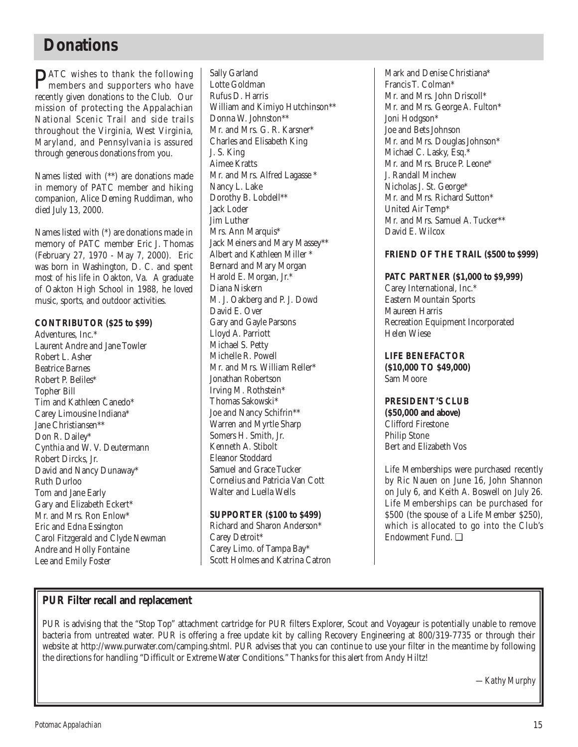## **Donations**

PATC wishes to thank the following members and supporters who have recently given donations to the Club. Our mission of protecting the Appalachian National Scenic Trail and side trails throughout the Virginia, West Virginia, Maryland, and Pennsylvania is assured through generous donations from you.

Names listed with (\*\*) are donations made in memory of PATC member and hiking companion, Alice Deming Ruddiman, who died July 13, 2000.

Names listed with (\*) are donations made in memory of PATC member Eric J. Thomas (February 27, 1970 - May 7, 2000). Eric was born in Washington, D. C. and spent most of his life in Oakton, Va. A graduate of Oakton High School in 1988, he loved music, sports, and outdoor activities.

### **CONTRIBUTOR (\$25 to \$99)**

Adventures, Inc.\* Laurent Andre and Jane Towler Robert L. Asher Beatrice Barnes Robert P. Beliles\* Topher Bill Tim and Kathleen Canedo\* Carey Limousine Indiana\* Jane Christiansen\*\* Don R. Dailey\* Cynthia and W. V. Deutermann Robert Dircks, Jr. David and Nancy Dunaway\* Ruth Durloo Tom and Jane Early Gary and Elizabeth Eckert\* Mr. and Mrs. Ron Enlow\* Eric and Edna Essington Carol Fitzgerald and Clyde Newman Andre and Holly Fontaine Lee and Emily Foster

Sally Garland Lotte Goldman Rufus D. Harris William and Kimiyo Hutchinson\*\* Donna W. Johnston\*\* Mr. and Mrs. G. R. Karsner\* Charles and Elisabeth King J. S. King Aimee Kratts Mr. and Mrs. Alfred Lagasse \* Nancy L. Lake Dorothy B. Lobdell\*\* Jack Loder Jim Luther Mrs. Ann Marquis\* Jack Meiners and Mary Massey\*\* Albert and Kathleen Miller \* Bernard and Mary Morgan Harold E. Morgan, Jr.\* Diana Niskern M. J. Oakberg and P. J. Dowd David E. Over Gary and Gayle Parsons Lloyd A. Parriott Michael S. Petty Michelle R. Powell Mr. and Mrs. William Reller\* Jonathan Robertson Irving M. Rothstein\* Thomas Sakowski\* Joe and Nancy Schifrin\*\* Warren and Myrtle Sharp Somers H. Smith, Jr. Kenneth A. Stibolt Eleanor Stoddard Samuel and Grace Tucker Cornelius and Patricia Van Cott Walter and Luella Wells

### **SUPPORTER (\$100 to \$499)**

Richard and Sharon Anderson\* Carey Detroit\* Carey Limo. of Tampa Bay\* Scott Holmes and Katrina Catron

Mark and Denise Christiana\* Francis T. Colman\* Mr. and Mrs. John Driscoll\* Mr. and Mrs. George A. Fulton\* Joni Hodgson\* Joe and Bets Johnson Mr. and Mrs. Douglas Johnson\* Michael C. Lasky, Esq.\* Mr. and Mrs. Bruce P. Leone\* J. Randall Minchew Nicholas J. St. George\* Mr. and Mrs. Richard Sutton\* United Air Temp\* Mr. and Mrs. Samuel A. Tucker\*\* David E. Wilcox

## **FRIEND OF THE TRAIL (\$500 to \$999)**

### **PATC PARTNER (\$1,000 to \$9,999)**

Carey International, Inc.\* Eastern Mountain Sports Maureen Harris Recreation Equipment Incorporated Helen Wiese

#### **LIFE BENEFACTOR (\$10,000 TO \$49,000)** Sam Moore

**PRESIDENT'S CLUB (\$50,000 and above)** Clifford Firestone Philip Stone Bert and Elizabeth Vos

Life Memberships were purchased recently by Ric Nauen on June 16, John Shannon on July 6, and Keith A. Boswell on July 26. Life Memberships can be purchased for \$500 (the spouse of a Life Member \$250), which is allocated to go into the Club's Endowment Fund. ❑

## **PUR Filter recall and replacement**

PUR is advising that the "Stop Top" attachment cartridge for PUR filters Explorer, Scout and Voyageur is potentially unable to remove bacteria from untreated water. PUR is offering a free update kit by calling Recovery Engineering at 800/319-7735 or through their website at http://www.purwater.com/camping.shtml. PUR advises that you can continue to use your filter in the meantime by following the directions for handling "Difficult or Extreme Water Conditions." Thanks for this alert from Andy Hiltz!

*—Kathy Murphy*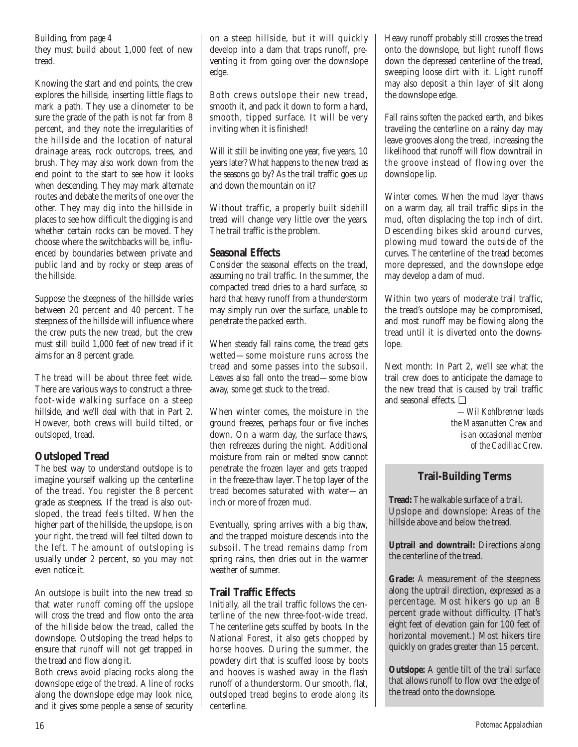### *Building, from page 4*

they must build about 1,000 feet of new tread.

Knowing the start and end points, the crew explores the hillside, inserting little flags to mark a path. They use a clinometer to be sure the grade of the path is not far from 8 percent, and they note the irregularities of the hillside and the location of natural drainage areas, rock outcrops, trees, and brush. They may also work down from the end point to the start to see how it looks when descending. They may mark alternate routes and debate the merits of one over the other. They may dig into the hillside in places to see how difficult the digging is and whether certain rocks can be moved. They choose where the switchbacks will be, influenced by boundaries between private and public land and by rocky or steep areas of the hillside.

Suppose the steepness of the hillside varies between 20 percent and 40 percent. The steepness of the hillside will influence where the crew puts the new tread, but the crew must still build 1,000 feet of new tread if it aims for an 8 percent grade.

The tread will be about three feet wide. There are various ways to construct a threefoot-wide walking surface on a steep hillside, and we'll deal with that in Part 2. However, both crews will build tilted, or outsloped, tread.

## **Outsloped Tread**

The best way to understand outslope is to imagine yourself walking up the centerline of the tread. You register the 8 percent grade as steepness. If the tread is also outsloped, the tread feels tilted. When the higher part of the hillside, the upslope, is on your right, the tread will feel tilted down to the left. The amount of outsloping is usually under 2 percent, so you may not even notice it.

An outslope is built into the new tread so that water runoff coming off the upslope will cross the tread and flow onto the area of the hillside below the tread, called the downslope. Outsloping the tread helps to ensure that runoff will not get trapped in the tread and flow along it.

Both crews avoid placing rocks along the downslope edge of the tread. A line of rocks along the downslope edge may look nice, and it gives some people a sense of security on a steep hillside, but it will quickly develop into a dam that traps runoff, preventing it from going over the downslope edge.

Both crews outslope their new tread, smooth it, and pack it down to form a hard, smooth, tipped surface. It will be very inviting when it is finished!

Will it still be inviting one year, five years, 10 years later? What happens to the new tread as the seasons go by? As the trail traffic goes up and down the mountain on it?

Without traffic, a properly built sidehill tread will change very little over the years. The trail traffic is the problem.

## **Seasonal Effects**

Consider the seasonal effects on the tread, assuming no trail traffic. In the summer, the compacted tread dries to a hard surface, so hard that heavy runoff from a thunderstorm may simply run over the surface, unable to penetrate the packed earth.

When steady fall rains come, the tread gets wetted—some moisture runs across the tread and some passes into the subsoil. Leaves also fall onto the tread—some blow away, some get stuck to the tread.

When winter comes, the moisture in the ground freezes, perhaps four or five inches down. On a warm day, the surface thaws, then refreezes during the night. Additional moisture from rain or melted snow cannot penetrate the frozen layer and gets trapped in the freeze-thaw layer. The top layer of the tread becomes saturated with water—an inch or more of frozen mud.

Eventually, spring arrives with a big thaw, and the trapped moisture descends into the subsoil. The tread remains damp from spring rains, then dries out in the warmer weather of summer.

## **Trail Traffic Effects**

Initially, all the trail traffic follows the centerline of the new three-foot-wide tread. The centerline gets scuffed by boots. In the National Forest, it also gets chopped by horse hooves. During the summer, the powdery dirt that is scuffed loose by boots and hooves is washed away in the flash runoff of a thunderstorm. Our smooth, flat, outsloped tread begins to erode along its centerline.

Heavy runoff probably still crosses the tread onto the downslope, but light runoff flows down the depressed centerline of the tread, sweeping loose dirt with it. Light runoff may also deposit a thin layer of silt along the downslope edge.

Fall rains soften the packed earth, and bikes traveling the centerline on a rainy day may leave grooves along the tread, increasing the likelihood that runoff will flow downtrail in the groove instead of flowing over the downslope lip.

Winter comes. When the mud layer thaws on a warm day, all trail traffic slips in the mud, often displacing the top inch of dirt. Descending bikes skid around curves, plowing mud toward the outside of the curves. The centerline of the tread becomes more depressed, and the downslope edge may develop a dam of mud.

Within two years of moderate trail traffic, the tread's outslope may be compromised, and most runoff may be flowing along the tread until it is diverted onto the downslope.

Next month: In Part 2, we'll see what the trail crew does to anticipate the damage to the new tread that is caused by trail traffic and seasonal effects. ❑

> *—Wil Kohlbrenner leads the Massanutten Crew and is an occasional member of the Cadillac Crew.*

## **Trail-Building Terms**

**Tread:** The walkable surface of a trail. Upslope and downslope: Areas of the hillside above and below the tread.

**Uptrail and downtrail:** Directions along the centerline of the tread.

**Grade:** A measurement of the steepness along the uptrail direction, expressed as a percentage. Most hikers go up an 8 percent grade without difficulty. (That's eight feet of elevation gain for 100 feet of horizontal movement.) Most hikers tire quickly on grades greater than 15 percent.

**Outslope:** A gentle tilt of the trail surface that allows runoff to flow over the edge of the tread onto the downslope.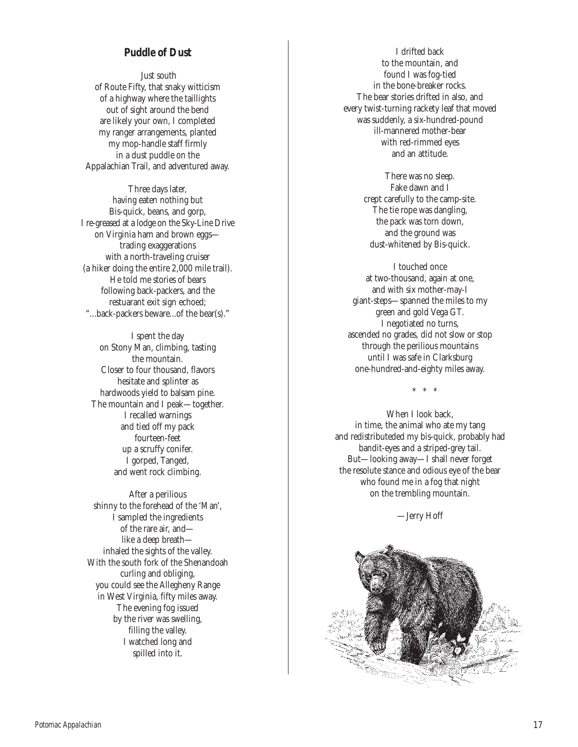### **Puddle of Dust**

Just south of Route Fifty, that snaky witticism of a highway where the taillights out of sight around the bend are likely your own, I completed my ranger arrangements, planted my mop-handle staff firmly in a dust puddle on the Appalachian Trail, and adventured away.

Three days later, having eaten nothing but Bis-quick, beans, and gorp, I re-greased at a lodge on the Sky-Line Drive on Virginia ham and brown eggs trading exaggerations with a north-traveling cruiser (a hiker doing the entire 2,000 mile trail). He told me stories of bears following back-packers, and the restuarant exit sign echoed; "...back-packers beware...of the bear(s)."

I spent the day on Stony Man, climbing, tasting the mountain. Closer to four thousand, flavors hesitate and splinter as hardwoods yield to balsam pine. The mountain and I peak—together. I recalled warnings and tied off my pack fourteen-feet up a scruffy conifer. I gorped, Tanged, and went rock climbing.

After a perilious shinny to the forehead of the 'Man', I sampled the ingredients of the rare air, and like a deep breath inhaled the sights of the valley. With the south fork of the Shenandoah curling and obliging, you could see the Allegheny Range in West Virginia, fifty miles away. The evening fog issued by the river was swelling, filling the valley. I watched long and spilled into it.

I drifted back to the mountain, and found I was fog-tied in the bone-breaker rocks. The bear stories drifted in also, and every twist-turning rackety leaf that moved was suddenly, a six-hundred-pound ill-mannered mother-bear with red-rimmed eyes and an attitude.

> There was no sleep. Fake dawn and I crept carefully to the camp-site. The tie rope was dangling, the pack was torn down, and the ground was dust-whitened by Bis-quick.

I touched once at two-thousand, again at one, and with six mother-may-I giant-steps—spanned the miles to my green and gold Vega GT. I negotiated no turns, ascended no grades, did not slow or stop through the perilious mountains until I was safe in Clarksburg one-hundred-and-eighty miles away.

\* \* \*

When I look back, in time, the animal who ate my tang and redistributeded my bis-quick, probably had bandit-eyes and a striped-grey tail. But—looking away—I shall never forget the resolute stance and odious eye of the bear who found me in a fog that night on the trembling mountain.

—Jerry Hoff

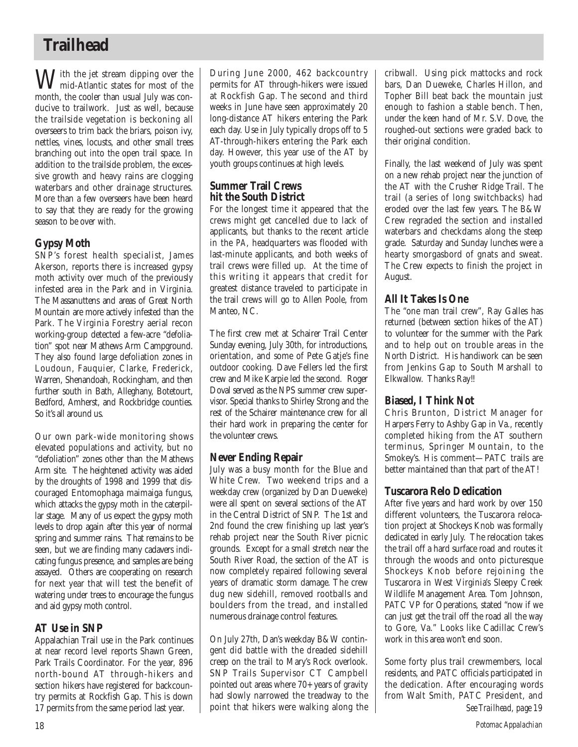## **Trailhead**

 $\mathbf{W}$ ith the jet stream dipping over the mid-Atlantic states for most of the month, the cooler than usual July was conducive to trailwork. Just as well, because the trailside vegetation is beckoning all overseers to trim back the briars, poison ivy, nettles, vines, locusts, and other small trees branching out into the open trail space. In addition to the trailside problem, the excessive growth and heavy rains are clogging waterbars and other drainage structures. More than a few overseers have been heard to say that they are ready for the growing season to be over with.

## **Gypsy Moth**

SNP's forest health specialist, James Akerson, reports there is increased gypsy moth activity over much of the previously infested area in the Park and in Virginia. The Massanuttens and areas of Great North Mountain are more actively infested than the Park. The Virginia Forestry aerial recon working-group detected a few-acre "defoliation" spot near Mathews Arm Campground. They also found large defoliation zones in Loudoun, Fauquier, Clarke, Frederick, Warren, Shenandoah, Rockingham, and then further south in Bath, Alleghany, Botetourt, Bedford, Amherst, and Rockbridge counties. So it's all around us.

Our own park-wide monitoring shows elevated populations and activity, but no "defoliation" zones other than the Mathews Arm site. The heightened activity was aided by the droughts of 1998 and 1999 that discouraged Entomophaga maimaiga fungus, which attacks the gypsy moth in the caterpillar stage. Many of us expect the gypsy moth levels to drop again after this year of normal spring and summer rains. That remains to be seen, but we are finding many cadavers indicating fungus presence, and samples are being assayed. Others are cooperating on research for next year that will test the benefit of watering under trees to encourage the fungus and aid gypsy moth control.

## **AT Use in SNP**

Appalachian Trail use in the Park continues at near record level reports Shawn Green, Park Trails Coordinator. For the year, 896 north-bound AT through-hikers and section hikers have registered for backcountry permits at Rockfish Gap. This is down 17 permits from the same period last year.

During June 2000, 462 backcountry permits for AT through-hikers were issued at Rockfish Gap. The second and third weeks in June have seen approximately 20 long-distance AT hikers entering the Park each day. Use in July typically drops off to 5 AT-through-hikers entering the Park each day. However, this year use of the AT by youth groups continues at high levels.

## **Summer Trail Crews hit the South District**

For the longest time it appeared that the crews might get cancelled due to lack of applicants, but thanks to the recent article in the *PA*, headquarters was flooded with last-minute applicants, and both weeks of trail crews were filled up. At the time of this writing it appears that credit for greatest distance traveled to participate in the trail crews will go to Allen Poole, from Manteo, NC.

The first crew met at Schairer Trail Center Sunday evening, July 30th, for introductions, orientation, and some of Pete Gatje's fine outdoor cooking. Dave Fellers led the first crew and Mike Karpie led the second. Roger Doval served as the NPS summer crew supervisor. Special thanks to Shirley Strong and the rest of the Schairer maintenance crew for all their hard work in preparing the center for the volunteer crews.

## **Never Ending Repair**

July was a busy month for the Blue and White Crew. Two weekend trips and a weekday crew (organized by Dan Dueweke) were all spent on several sections of the AT in the Central District of SNP. The 1st and 2nd found the crew finishing up last year's rehab project near the South River picnic grounds. Except for a small stretch near the South River Road, the section of the AT is now completely repaired following several years of dramatic storm damage. The crew dug new sidehill, removed rootballs and boulders from the tread, and installed numerous drainage control features.

On July 27th, Dan's weekday B&W contingent did battle with the dreaded sidehill creep on the trail to Mary's Rock overlook. SNP Trails Supervisor CT Campbell pointed out areas where 70+ years of gravity had slowly narrowed the treadway to the point that hikers were walking along the cribwall. Using pick mattocks and rock bars, Dan Dueweke, Charles Hillon, and Topher Bill beat back the mountain just enough to fashion a stable bench. Then, under the keen hand of Mr. S.V. Dove, the roughed-out sections were graded back to their original condition.

Finally, the last weekend of July was spent on a new rehab project near the junction of the AT with the Crusher Ridge Trail. The trail (a series of long switchbacks) had eroded over the last few years. The B&W Crew regraded the section and installed waterbars and checkdams along the steep grade. Saturday and Sunday lunches were a hearty smorgasbord of gnats and sweat. The Crew expects to finish the project in August.

## **All It Takes Is One**

The "one man trail crew", Ray Galles has returned (between section hikes of the AT) to volunteer for the summer with the Park and to help out on trouble areas in the North District. His handiwork can be seen from Jenkins Gap to South Marshall to Elkwallow. Thanks Ray!!

## **Biased, I Think Not**

Chris Brunton, District Manager for Harpers Ferry to Ashby Gap in Va., recently completed hiking from the AT southern terminus, Springer Mountain, to the Smokey's. His comment—PATC trails are better maintained than that part of the AT!

## **Tuscarora Relo Dedication**

After five years and hard work by over 150 different volunteers, the Tuscarora relocation project at Shockeys Knob was formally dedicated in early July. The relocation takes the trail off a hard surface road and routes it through the woods and onto picturesque Shockeys Knob before rejoining the Tuscarora in West Virginia's Sleepy Creek Wildlife Management Area. Tom Johnson, PATC VP for Operations, stated "now if we can just get the trail off the road all the way to Gore, Va." Looks like Cadillac Crew's work in this area won't end soon.

Some forty plus trail crewmembers, local residents, and PATC officials participated in the dedication. After encouraging words from Walt Smith, PATC President, and *See Trailhead, page 19*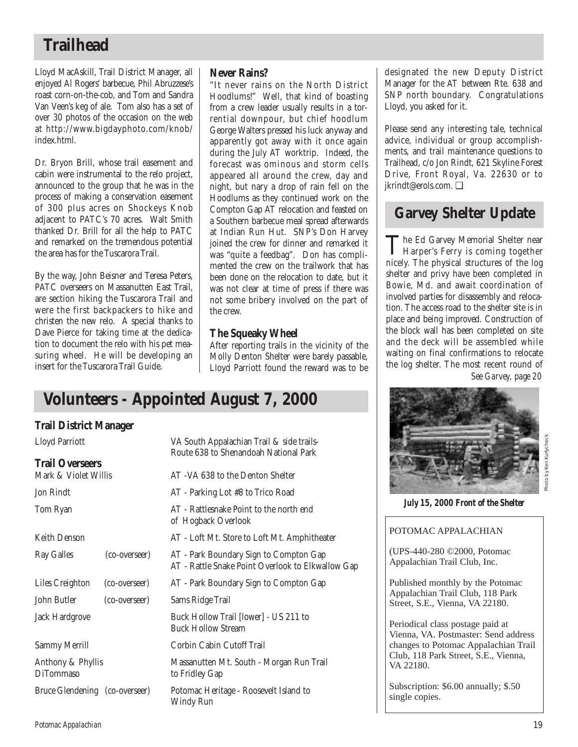## **Trailhead**

Lloyd MacAskill, Trail District Manager, all enjoyed Al Rogers' barbecue, Phil Abruzzese's roast corn-on-the-cob, and Tom and Sandra Van Veen's keg of ale. Tom also has a set of over 30 photos of the occasion on the web at http://www.bigdayphoto.com/knob/ index.html.

Dr. Bryon Brill, whose trail easement and cabin were instrumental to the relo project, announced to the group that he was in the process of making a conservation easement of 300 plus acres on Shockeys Knob adjacent to PATC's 70 acres. Walt Smith thanked Dr. Brill for all the help to PATC and remarked on the tremendous potential the area has for the Tuscarora Trail.

By the way, John Beisner and Teresa Peters, PATC overseers on Massanutten East Trail, are section hiking the Tuscarora Trail and were the first backpackers to hike and christen the new relo. A special thanks to Dave Pierce for taking time at the dedication to document the relo with his pet measuring wheel. He will be developing an insert for the Tuscarora Trail Guide.

## **Never Rains?**

"It never rains on the North District Hoodlums!" Well, that kind of boasting from a crew leader usually results in a torrential downpour, but chief hoodlum George Walters pressed his luck anyway and apparently got away with it once again during the July AT worktrip. Indeed, the forecast was ominous and storm cells appeared all around the crew, day and night, but nary a drop of rain fell on the Hoodlums as they continued work on the Compton Gap AT relocation and feasted on a Southern barbecue meal spread afterwards at Indian Run Hut. SNP's Don Harvey joined the crew for dinner and remarked it was "quite a feedbag". Don has complimented the crew on the trailwork that has been done on the relocation to date, but it was not clear at time of press if there was not some bribery involved on the part of the crew.

## **The Squeaky Wheel**

After reporting trails in the vicinity of the Molly Denton Shelter were barely passable, Lloyd Parriott found the reward was to be

## **Volunteers - Appointed August 7, 2000**

## **Trail District Manager**

| <b>Lloyd Parriott</b>                 |               | VA South Appalachian Trail & side trails-<br>Route 638 to Shenandoah National Park          |
|---------------------------------------|---------------|---------------------------------------------------------------------------------------------|
| <b>Trail Overseers</b>                |               |                                                                                             |
| Mark & Violet Willis                  |               | AT -VA 638 to the Denton Shelter                                                            |
| <b>Jon Rindt</b>                      |               | AT - Parking Lot #8 to Trico Road                                                           |
| Tom Ryan                              |               | AT - Rattlesnake Point to the north end<br>of Hogback Overlook                              |
| <b>Keith Denson</b>                   |               | AT - Loft Mt. Store to Loft Mt. Amphitheater                                                |
| <b>Ray Galles</b>                     | (co-overseer) | AT - Park Boundary Sign to Compton Gap<br>AT - Rattle Snake Point Overlook to Elkwallow Gap |
| Liles Creighton                       | (co-overseer) | AT - Park Boundary Sign to Compton Gap                                                      |
| John Butler                           | (co-overseer) | Sams Ridge Trail                                                                            |
| Jack Hardgrove                        |               | Buck Hollow Trail [lower] - US 211 to<br><b>Buck Hollow Stream</b>                          |
| <b>Sammy Merrill</b>                  |               | Corbin Cabin Cutoff Trail                                                                   |
| Anthony & Phyllis<br><b>DiTommaso</b> |               | Massanutten Mt. South - Morgan Run Trail<br>to Fridley Gap                                  |
| Bruce Glendening (co-overseer)        |               | Potomac Heritage - Roosevelt Island to<br>Windy Run                                         |
|                                       |               |                                                                                             |

designated the new Deputy District Manager for the AT between Rte. 638 and SNP north boundary. Congratulations Lloyd, you asked for it.

Please send any interesting tale, technical advice, individual or group accomplishments, and trail maintenance questions to Trailhead, c/o Jon Rindt, 621 Skyline Forest Drive, Front Royal, Va. 22630 or to jkrindt@erols.com. ❑

## **Garvey Shelter Update**

The Ed Garvey Memorial Shelter near Harper's Ferry is coming together nicely. The physical structures of the log shelter and privy have been completed in Bowie, Md. and await coordination of involved parties for disassembly and relocation. The access road to the shelter site is in place and being improved. Construction of the block wall has been completed on site and the deck will be assembled while waiting on final confirmations to relocate the log shelter. The most recent round of *See Garvey, page 20*



*July 15, 2000 Front of the Shelter*

## POTOMAC APPALACHIAN

(UPS-440-280 ©2000, Potomac Appalachian Trail Club, Inc.

Published monthly by the Potomac Appalachian Trail Club, 118 Park Street, S.E., Vienna, VA 22180.

Periodical class postage paid at Vienna, VA. Postmaster: Send address changes to Potomac Appalachian Trail Club, 118 Park Street, S.E., Vienna, VA 22180.

Subscription: \$6.00 annually; \$.50 single copies.